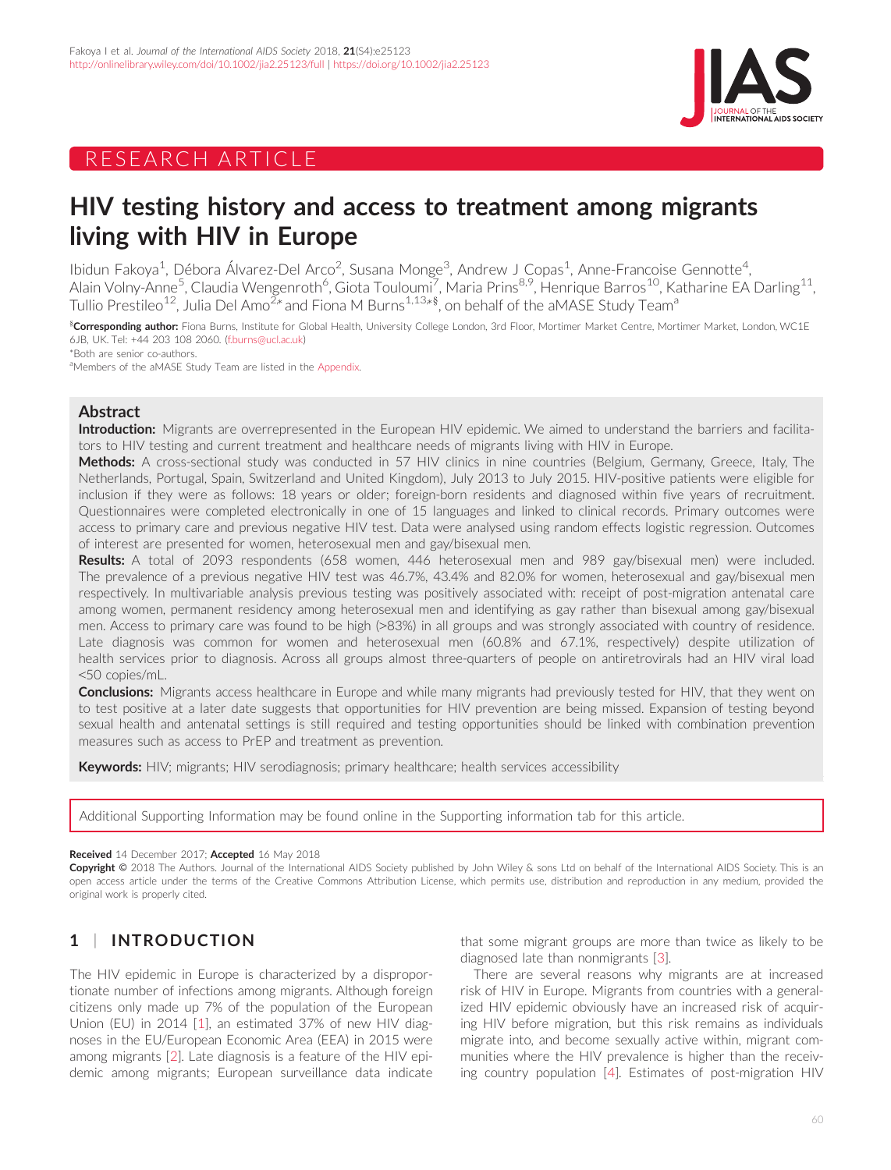



## HIV testing history and access to treatment among migrants living with HIV in Europe

Ibidun Fakoya<sup>1</sup>, Débora Álvarez-Del Arco<sup>2</sup>, Susana Monge<sup>3</sup>, Andrew J Copas<sup>1</sup>, Anne-Francoise Gennotte<sup>4</sup> , Alain Volny-Anne<sup>5</sup>, Claudia Wengenroth<sup>6</sup>, Giota Touloumi<sup>7</sup>, Maria Prins<sup>8,9</sup>, Henrique Barros<sup>10</sup>, Katharine EA Darling<sup>11</sup>, Tullio Prestileo $^{12}$ , Julia Del Amo $^{2\ast}$ and Fiona M Burns $^{1,13*\$},$  on behalf of the aMASE Study Team $^{\rm a}$ 

 $\rm\degree$ Corresponding author: Fiona Burns, Institute for Global Health, University College London, 3rd Floor, Mortimer Market Centre, Mortimer Market, London, WC1E 6JB, UK. Tel: +44 203 108 2060. [\(f.burns@ucl.ac.uk\)](mailto:f.burns@ucl.ac.uk)

\*Both are senior co-authors.

aMembers of the aMASE Study Team are listed in the Appendix.

## Abstract

Introduction: Migrants are overrepresented in the European HIV epidemic. We aimed to understand the barriers and facilitators to HIV testing and current treatment and healthcare needs of migrants living with HIV in Europe.

Methods: A cross-sectional study was conducted in 57 HIV clinics in nine countries (Belgium, Germany, Greece, Italy, The Netherlands, Portugal, Spain, Switzerland and United Kingdom), July 2013 to July 2015. HIV-positive patients were eligible for inclusion if they were as follows: 18 years or older; foreign-born residents and diagnosed within five years of recruitment. Questionnaires were completed electronically in one of 15 languages and linked to clinical records. Primary outcomes were access to primary care and previous negative HIV test. Data were analysed using random effects logistic regression. Outcomes of interest are presented for women, heterosexual men and gay/bisexual men.

Results: A total of 2093 respondents (658 women, 446 heterosexual men and 989 gay/bisexual men) were included. The prevalence of a previous negative HIV test was 46.7%, 43.4% and 82.0% for women, heterosexual and gay/bisexual men respectively. In multivariable analysis previous testing was positively associated with: receipt of post-migration antenatal care among women, permanent residency among heterosexual men and identifying as gay rather than bisexual among gay/bisexual men. Access to primary care was found to be high (>83%) in all groups and was strongly associated with country of residence. Late diagnosis was common for women and heterosexual men (60.8% and 67.1%, respectively) despite utilization of health services prior to diagnosis. Across all groups almost three-quarters of people on antiretrovirals had an HIV viral load <50 copies/mL.

**Conclusions:** Migrants access healthcare in Europe and while many migrants had previously tested for HIV, that they went on to test positive at a later date suggests that opportunities for HIV prevention are being missed. Expansion of testing beyond sexual health and antenatal settings is still required and testing opportunities should be linked with combination prevention measures such as access to PrEP and treatment as prevention.

Keywords: HIV; migrants; HIV serodiagnosis; primary healthcare; health services accessibility

Additional Supporting Information may be found online in the Supporting information tab for this article.

#### Received 14 December 2017; Accepted 16 May 2018

Copyright © 2018 The Authors. Journal of the International AIDS Society published by John Wiley & sons Ltd on behalf of the International AIDS Society. This is an open access article under the terms of the [Creative Commons Attribution](http://creativecommons.org/licenses/by/4.0/) License, which permits use, distribution and reproduction in any medium, provided the original work is properly cited.

## 1 | INTRODUCTION

The HIV epidemic in Europe is characterized by a disproportionate number of infections among migrants. Although foreign citizens only made up 7% of the population of the European Union (EU) in 2014 [[1\]](#page-12-0), an estimated 37% of new HIV diagnoses in the EU/European Economic Area (EEA) in 2015 were among migrants [[2\]](#page-12-0). Late diagnosis is a feature of the HIV epidemic among migrants; European surveillance data indicate

that some migrant groups are more than twice as likely to be diagnosed late than nonmigrants [\[3](#page-12-0)].

There are several reasons why migrants are at increased risk of HIV in Europe. Migrants from countries with a generalized HIV epidemic obviously have an increased risk of acquiring HIV before migration, but this risk remains as individuals migrate into, and become sexually active within, migrant communities where the HIV prevalence is higher than the receiving country population [[4](#page-12-0)]. Estimates of post-migration HIV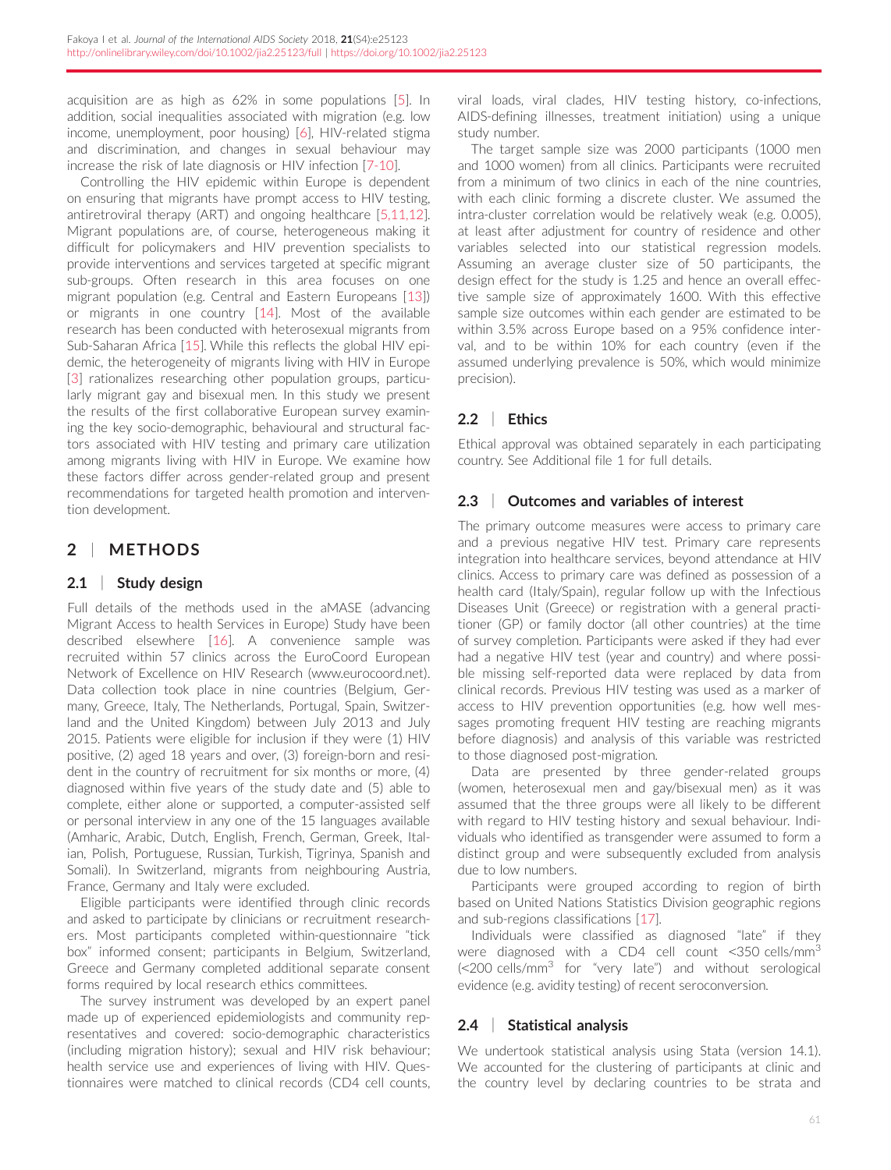acquisition are as high as 62% in some populations [[5\]](#page-12-0). In addition, social inequalities associated with migration (e.g. low income, unemployment, poor housing) [\[6](#page-12-0)], HIV-related stigma and discrimination, and changes in sexual behaviour may increase the risk of late diagnosis or HIV infection [[7-10](#page-12-0)].

Controlling the HIV epidemic within Europe is dependent on ensuring that migrants have prompt access to HIV testing, antiretroviral therapy (ART) and ongoing healthcare [\[5,11,12](#page-12-0)]. Migrant populations are, of course, heterogeneous making it difficult for policymakers and HIV prevention specialists to provide interventions and services targeted at specific migrant sub-groups. Often research in this area focuses on one migrant population (e.g. Central and Eastern Europeans [\[13](#page-12-0)]) or migrants in one country [\[14](#page-12-0)]. Most of the available research has been conducted with heterosexual migrants from Sub-Saharan Africa [\[15\]](#page-12-0). While this reflects the global HIV epidemic, the heterogeneity of migrants living with HIV in Europe [\[3\]](#page-12-0) rationalizes researching other population groups, particularly migrant gay and bisexual men. In this study we present the results of the first collaborative European survey examining the key socio-demographic, behavioural and structural factors associated with HIV testing and primary care utilization among migrants living with HIV in Europe. We examine how these factors differ across gender-related group and present recommendations for targeted health promotion and intervention development.

## 2 | METHODS

## 2.1 | Study design

Full details of the methods used in the aMASE (advancing Migrant Access to health Services in Europe) Study have been described elsewhere [\[16](#page-12-0)]. A convenience sample was recruited within 57 clinics across the EuroCoord European Network of Excellence on HIV Research [\(www.eurocoord.net](http://www.eurocoord.net)). Data collection took place in nine countries (Belgium, Germany, Greece, Italy, The Netherlands, Portugal, Spain, Switzerland and the United Kingdom) between July 2013 and July 2015. Patients were eligible for inclusion if they were (1) HIV positive, (2) aged 18 years and over, (3) foreign-born and resident in the country of recruitment for six months or more, (4) diagnosed within five years of the study date and (5) able to complete, either alone or supported, a computer-assisted self or personal interview in any one of the 15 languages available (Amharic, Arabic, Dutch, English, French, German, Greek, Italian, Polish, Portuguese, Russian, Turkish, Tigrinya, Spanish and Somali). In Switzerland, migrants from neighbouring Austria, France, Germany and Italy were excluded.

Eligible participants were identified through clinic records and asked to participate by clinicians or recruitment researchers. Most participants completed within-questionnaire "tick box" informed consent; participants in Belgium, Switzerland, Greece and Germany completed additional separate consent forms required by local research ethics committees.

The survey instrument was developed by an expert panel made up of experienced epidemiologists and community representatives and covered: socio-demographic characteristics (including migration history); sexual and HIV risk behaviour; health service use and experiences of living with HIV. Questionnaires were matched to clinical records (CD4 cell counts,

viral loads, viral clades, HIV testing history, co-infections, AIDS-defining illnesses, treatment initiation) using a unique study number.

The target sample size was 2000 participants (1000 men and 1000 women) from all clinics. Participants were recruited from a minimum of two clinics in each of the nine countries, with each clinic forming a discrete cluster. We assumed the intra-cluster correlation would be relatively weak (e.g. 0.005), at least after adjustment for country of residence and other variables selected into our statistical regression models. Assuming an average cluster size of 50 participants, the design effect for the study is 1.25 and hence an overall effective sample size of approximately 1600. With this effective sample size outcomes within each gender are estimated to be within 3.5% across Europe based on a 95% confidence interval, and to be within 10% for each country (even if the assumed underlying prevalence is 50%, which would minimize precision).

## 2.2 | Ethics

Ethical approval was obtained separately in each participating country. See Additional file 1 for full details.

## 2.3 | Outcomes and variables of interest

The primary outcome measures were access to primary care and a previous negative HIV test. Primary care represents integration into healthcare services, beyond attendance at HIV clinics. Access to primary care was defined as possession of a health card (Italy/Spain), regular follow up with the Infectious Diseases Unit (Greece) or registration with a general practitioner (GP) or family doctor (all other countries) at the time of survey completion. Participants were asked if they had ever had a negative HIV test (year and country) and where possible missing self-reported data were replaced by data from clinical records. Previous HIV testing was used as a marker of access to HIV prevention opportunities (e.g. how well messages promoting frequent HIV testing are reaching migrants before diagnosis) and analysis of this variable was restricted to those diagnosed post-migration.

Data are presented by three gender-related groups (women, heterosexual men and gay/bisexual men) as it was assumed that the three groups were all likely to be different with regard to HIV testing history and sexual behaviour. Individuals who identified as transgender were assumed to form a distinct group and were subsequently excluded from analysis due to low numbers.

Participants were grouped according to region of birth based on United Nations Statistics Division geographic regions and sub-regions classifications [[17\]](#page-12-0).

Individuals were classified as diagnosed "late" if they were diagnosed with a CD4 cell count <350 cells/mm<sup>3</sup>  $\approx$  200 cells/mm<sup>3</sup> for "very late") and without serological evidence (e.g. avidity testing) of recent seroconversion.

## 2.4 | Statistical analysis

We undertook statistical analysis using Stata (version 14.1). We accounted for the clustering of participants at clinic and the country level by declaring countries to be strata and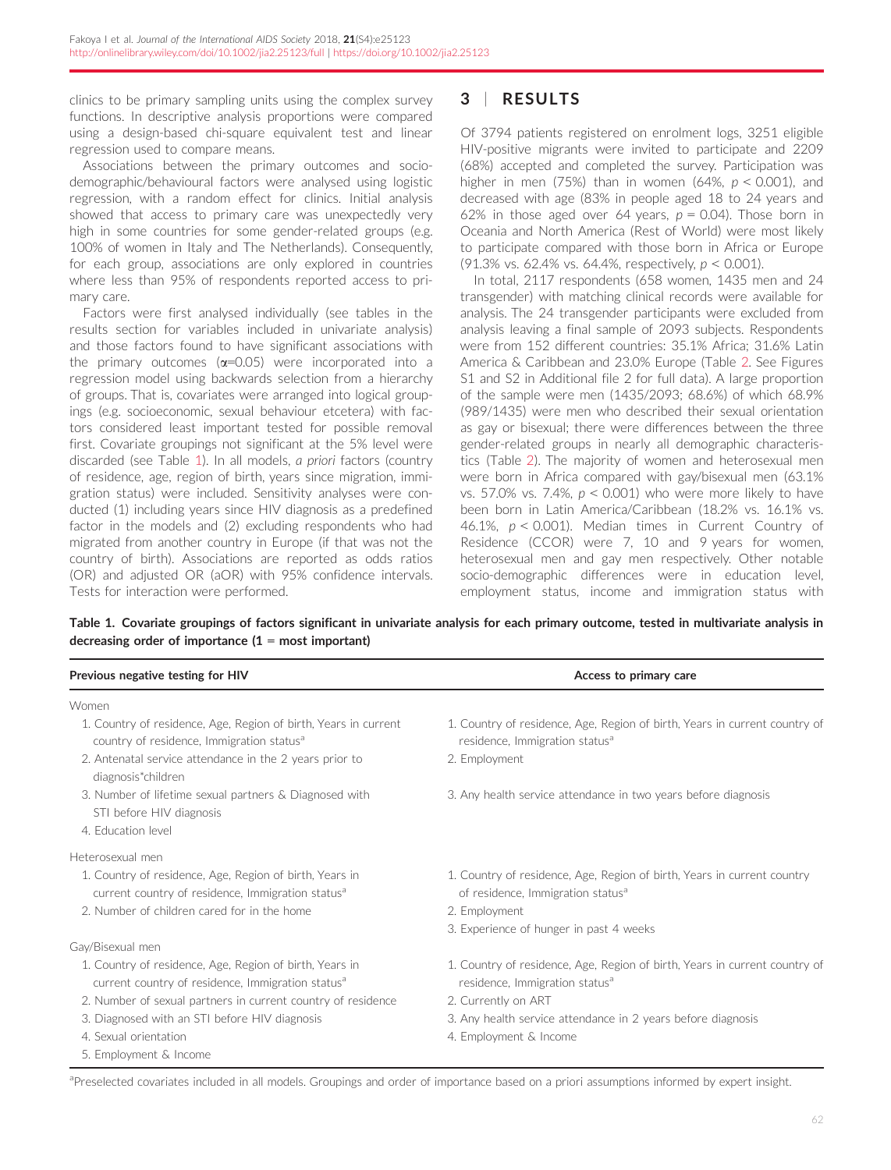clinics to be primary sampling units using the complex survey functions. In descriptive analysis proportions were compared using a design-based chi-square equivalent test and linear regression used to compare means.

Associations between the primary outcomes and sociodemographic/behavioural factors were analysed using logistic regression, with a random effect for clinics. Initial analysis showed that access to primary care was unexpectedly very high in some countries for some gender-related groups (e.g. 100% of women in Italy and The Netherlands). Consequently, for each group, associations are only explored in countries where less than 95% of respondents reported access to primary care.

Factors were first analysed individually (see tables in the results section for variables included in univariate analysis) and those factors found to have significant associations with the primary outcomes  $(\alpha=0.05)$  were incorporated into a regression model using backwards selection from a hierarchy of groups. That is, covariates were arranged into logical groupings (e.g. socioeconomic, sexual behaviour etcetera) with factors considered least important tested for possible removal first. Covariate groupings not significant at the 5% level were discarded (see Table 1). In all models, a priori factors (country of residence, age, region of birth, years since migration, immigration status) were included. Sensitivity analyses were conducted (1) including years since HIV diagnosis as a predefined factor in the models and (2) excluding respondents who had migrated from another country in Europe (if that was not the country of birth). Associations are reported as odds ratios (OR) and adjusted OR (aOR) with 95% confidence intervals. Tests for interaction were performed.

## 3 | RESULTS

Of 3794 patients registered on enrolment logs, 3251 eligible HIV-positive migrants were invited to participate and 2209 (68%) accepted and completed the survey. Participation was higher in men (75%) than in women (64%,  $p < 0.001$ ), and decreased with age (83% in people aged 18 to 24 years and 62% in those aged over 64 years,  $p = 0.04$ ). Those born in Oceania and North America (Rest of World) were most likely to participate compared with those born in Africa or Europe (91.3% vs. 62.4% vs. 64.4%, respectively, p < 0.001).

In total, 2117 respondents (658 women, 1435 men and 24 transgender) with matching clinical records were available for analysis. The 24 transgender participants were excluded from analysis leaving a final sample of 2093 subjects. Respondents were from 152 different countries: 35.1% Africa; 31.6% Latin America & Caribbean and 23.0% Europe (Table [2.](#page-3-0) See Figures S1 and S2 in Additional file 2 for full data). A large proportion of the sample were men (1435/2093; 68.6%) of which 68.9% (989/1435) were men who described their sexual orientation as gay or bisexual; there were differences between the three gender-related groups in nearly all demographic characteristics (Table [2](#page-3-0)). The majority of women and heterosexual men were born in Africa compared with gay/bisexual men (63.1% vs. 57.0% vs. 7.4%,  $p < 0.001$ ) who were more likely to have been born in Latin America/Caribbean (18.2% vs. 16.1% vs. 46.1%,  $p < 0.001$ ). Median times in Current Country of Residence (CCOR) were 7, 10 and 9 years for women, heterosexual men and gay men respectively. Other notable socio-demographic differences were in education level, employment status, income and immigration status with

## Table 1. Covariate groupings of factors significant in univariate analysis for each primary outcome, tested in multivariate analysis in

| Previous negative testing for HIV                                                                                        | Access to primary care                                                                                                   |  |  |  |
|--------------------------------------------------------------------------------------------------------------------------|--------------------------------------------------------------------------------------------------------------------------|--|--|--|
| Women                                                                                                                    |                                                                                                                          |  |  |  |
| 1. Country of residence, Age, Region of birth, Years in current<br>country of residence, Immigration status <sup>a</sup> | 1. Country of residence, Age, Region of birth, Years in current country of<br>residence, Immigration status <sup>a</sup> |  |  |  |
| 2. Antenatal service attendance in the 2 years prior to<br>diagnosis*children                                            | 2. Employment                                                                                                            |  |  |  |
| 3. Number of lifetime sexual partners & Diagnosed with<br>STI before HIV diagnosis                                       | 3. Any health service attendance in two years before diagnosis                                                           |  |  |  |
| 4. Education level                                                                                                       |                                                                                                                          |  |  |  |
| Heterosexual men                                                                                                         |                                                                                                                          |  |  |  |
| 1. Country of residence, Age, Region of birth, Years in<br>current country of residence, Immigration status <sup>a</sup> | 1. Country of residence, Age, Region of birth, Years in current country<br>of residence, Immigration status <sup>a</sup> |  |  |  |
| 2. Number of children cared for in the home                                                                              | 2. Employment                                                                                                            |  |  |  |
|                                                                                                                          | 3. Experience of hunger in past 4 weeks                                                                                  |  |  |  |
| Gay/Bisexual men                                                                                                         |                                                                                                                          |  |  |  |
| 1. Country of residence, Age, Region of birth, Years in<br>current country of residence, Immigration status <sup>a</sup> | 1. Country of residence, Age, Region of birth, Years in current country of<br>residence, Immigration status <sup>a</sup> |  |  |  |
| 2. Number of sexual partners in current country of residence                                                             | 2. Currently on ART                                                                                                      |  |  |  |
| 3. Diagnosed with an STI before HIV diagnosis                                                                            | 3. Any health service attendance in 2 years before diagnosis                                                             |  |  |  |
| 4. Sexual orientation                                                                                                    | 4. Employment & Income                                                                                                   |  |  |  |
| 5 Employment & Income                                                                                                    |                                                                                                                          |  |  |  |

apreselected covariates included in all models. Groupings and order of importance based on a priori assumptions informed by expert insight.

62

# decreasing order of importance  $(1 = \text{most important})$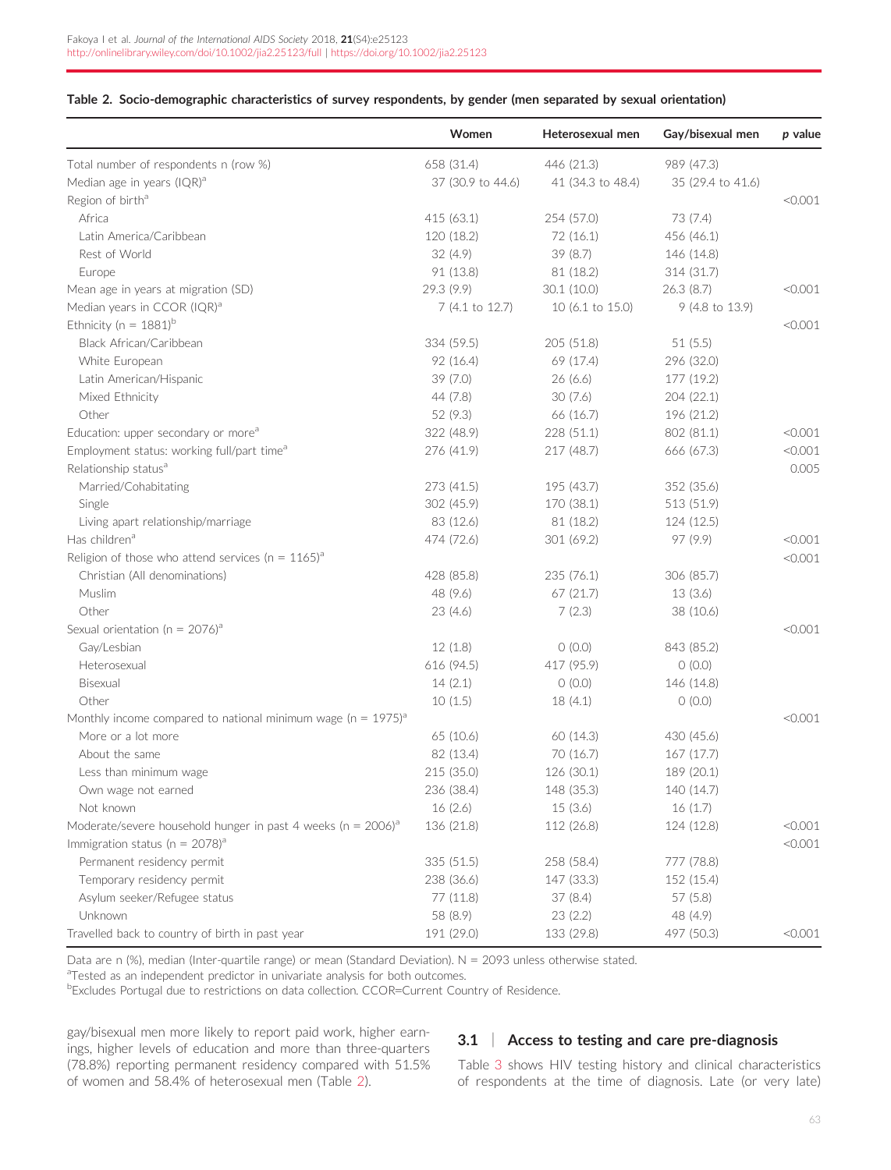## <span id="page-3-0"></span>Table 2. Socio-demographic characteristics of survey respondents, by gender (men separated by sexual orientation)

|                                                                              | Women             | Heterosexual men  | Gay/bisexual men  | p value |
|------------------------------------------------------------------------------|-------------------|-------------------|-------------------|---------|
| Total number of respondents n (row %)                                        | 658 (31.4)        | 446 (21.3)        | 989 (47.3)        |         |
| Median age in years (IQR) <sup>a</sup>                                       | 37 (30.9 to 44.6) | 41 (34.3 to 48.4) | 35 (29.4 to 41.6) |         |
| Region of birth <sup>a</sup>                                                 |                   |                   |                   | < 0.001 |
| Africa                                                                       | 415 (63.1)        | 254 (57.0)        | 73 (7.4)          |         |
| Latin America/Caribbean                                                      | 120 (18.2)        | 72 (16.1)         | 456 (46.1)        |         |
| Rest of World                                                                | 32(4.9)           | 39 (8.7)          | 146 (14.8)        |         |
| Europe                                                                       | 91 (13.8)         | 81 (18.2)         | 314 (31.7)        |         |
| Mean age in years at migration (SD)                                          | 29.3 (9.9)        | 30.1(10.0)        | 26.3(8.7)         | < 0.001 |
| Median years in CCOR (IQR) <sup>a</sup>                                      | 7 (4.1 to 12.7)   | 10 (6.1 to 15.0)  | 9 (4.8 to 13.9)   |         |
| Ethnicity ( $n = 1881$ ) <sup>b</sup>                                        |                   |                   |                   | < 0.001 |
| Black African/Caribbean                                                      | 334 (59.5)        | 205 (51.8)        | 51(5.5)           |         |
| White European                                                               | 92 (16.4)         | 69 (17.4)         | 296 (32.0)        |         |
| Latin American/Hispanic                                                      | 39(7.0)           | 26(6.6)           | 177 (19.2)        |         |
| Mixed Ethnicity                                                              | 44 (7.8)          | 30(7.6)           | 204(22.1)         |         |
| Other                                                                        | 52 (9.3)          | 66 (16.7)         | 196 (21.2)        |         |
| Education: upper secondary or more <sup>a</sup>                              | 322 (48.9)        | 228 (51.1)        | 802 (81.1)        | < 0.001 |
| Employment status: working full/part time <sup>a</sup>                       | 276 (41.9)        | 217 (48.7)        | 666 (67.3)        | < 0.001 |
| Relationship status <sup>a</sup>                                             |                   |                   |                   | 0.005   |
| Married/Cohabitating                                                         | 273 (41.5)        | 195 (43.7)        | 352 (35.6)        |         |
| Single                                                                       | 302 (45.9)        | 170 (38.1)        | 513 (51.9)        |         |
| Living apart relationship/marriage                                           | 83 (12.6)         | 81 (18.2)         | 124 (12.5)        |         |
| Has children <sup>a</sup>                                                    | 474 (72.6)        | 301 (69.2)        | 97 (9.9)          | < 0.001 |
| Religion of those who attend services ( $n = 1165$ ) <sup>a</sup>            |                   |                   |                   | < 0.001 |
| Christian (All denominations)                                                | 428 (85.8)        | 235 (76.1)        | 306 (85.7)        |         |
| Muslim                                                                       | 48 (9.6)          | 67 (21.7)         | 13(3.6)           |         |
| Other                                                                        | 23(4.6)           | 7(2.3)            | 38 (10.6)         |         |
| Sexual orientation (n = $2076$ ) <sup>a</sup>                                |                   |                   |                   | < 0.001 |
| Gay/Lesbian                                                                  | 12(1.8)           | 0(0.0)            | 843 (85.2)        |         |
| Heterosexual                                                                 | 616 (94.5)        | 417 (95.9)        | O(0.0)            |         |
| Bisexual                                                                     | 14(2.1)           | 0(0.0)            | 146 (14.8)        |         |
| Other                                                                        | 10(1.5)           | 18(4.1)           | 0(0.0)            |         |
| Monthly income compared to national minimum wage ( $n = 1975$ ) <sup>a</sup> |                   |                   |                   | < 0.001 |
| More or a lot more                                                           | 65 (10.6)         | 60 (14.3)         | 430 (45.6)        |         |
| About the same                                                               | 82 (13.4)         | 70 (16.7)         | 167(17.7)         |         |
| Less than minimum wage                                                       | 215 (35.0)        | 126 (30.1)        | 189 (20.1)        |         |
| Own wage not earned                                                          | 236 (38.4)        | 148 (35.3)        | 140 (14.7)        |         |
| Not known                                                                    | 16(2.6)           | 15(3.6)           | 16(1.7)           |         |
| Moderate/severe household hunger in past 4 weeks ( $n = 2006$ ) <sup>a</sup> | 136 (21.8)        | 112 (26.8)        | 124 (12.8)        | < 0.001 |
| Immigration status ( $n = 2078$ ) <sup>a</sup>                               |                   |                   |                   | < 0.001 |
| Permanent residency permit                                                   | 335 (51.5)        | 258 (58.4)        | 777 (78.8)        |         |
| Temporary residency permit                                                   | 238 (36.6)        | 147 (33.3)        | 152 (15.4)        |         |
| Asylum seeker/Refugee status                                                 | 77 (11.8)         | 37(8.4)           | 57 (5.8)          |         |
| Unknown                                                                      | 58 (8.9)          | 23(2.2)           | 48 (4.9)          |         |
| Travelled back to country of birth in past year                              | 191 (29.0)        | 133 (29.8)        | 497 (50.3)        | < 0.001 |

Data are n (%), median (Inter-quartile range) or mean (Standard Deviation). N = 2093 unless otherwise stated.

<sup>a</sup>Tested as an independent predictor in univariate analysis for both outcomes.

**bExcludes Portugal due to restrictions on data collection. CCOR=Current Country of Residence.** 

gay/bisexual men more likely to report paid work, higher earnings, higher levels of education and more than three-quarters (78.8%) reporting permanent residency compared with 51.5% of women and 58.4% of heterosexual men (Table 2).

## 3.1 | Access to testing and care pre-diagnosis

Table [3](#page-4-0) shows HIV testing history and clinical characteristics of respondents at the time of diagnosis. Late (or very late)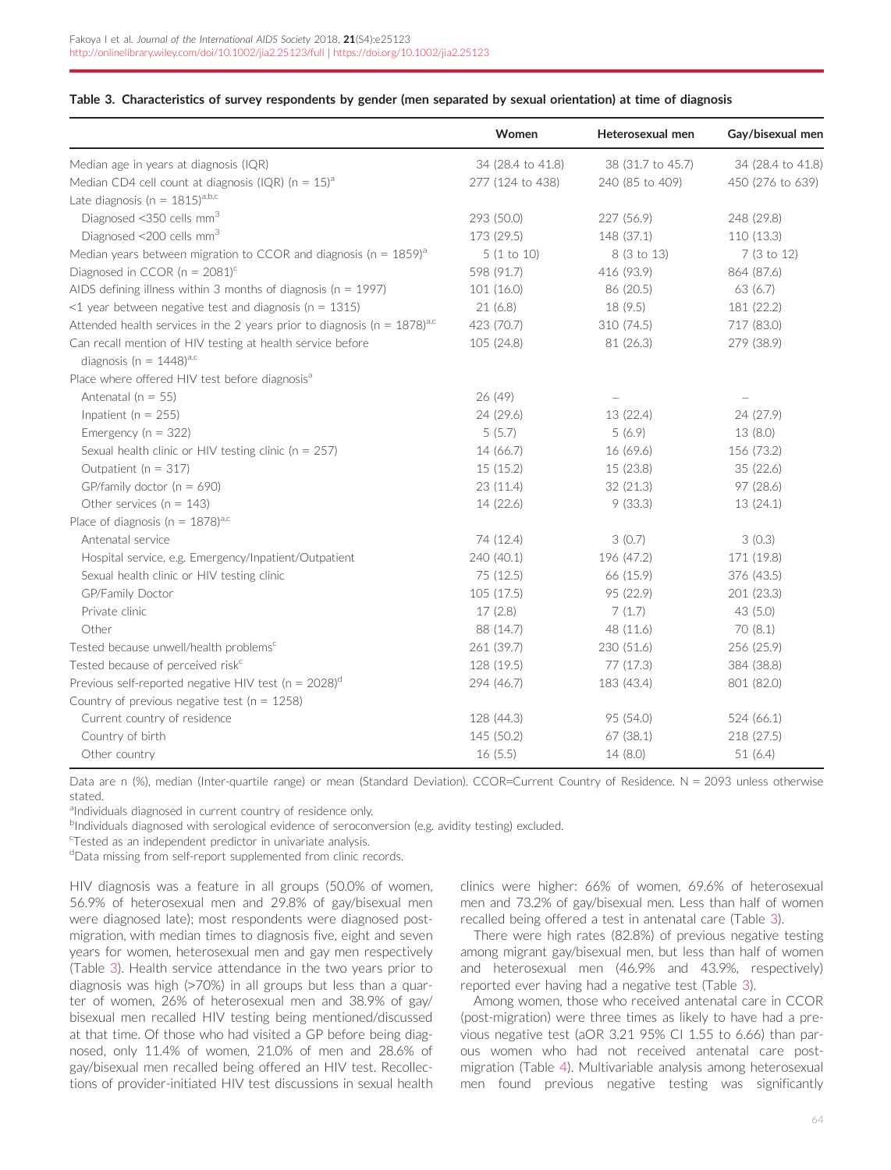#### <span id="page-4-0"></span>Table 3. Characteristics of survey respondents by gender (men separated by sexual orientation) at time of diagnosis

|                                                                                          | Women             | Heterosexual men  | Gay/bisexual men         |
|------------------------------------------------------------------------------------------|-------------------|-------------------|--------------------------|
| Median age in years at diagnosis (IQR)                                                   | 34 (28.4 to 41.8) | 38 (31.7 to 45.7) | 34 (28.4 to 41.8)        |
| Median CD4 cell count at diagnosis (IQR) ( $n = 15$ ) <sup>a</sup>                       | 277 (124 to 438)  | 240 (85 to 409)   | 450 (276 to 639)         |
| Late diagnosis ( $n = 1815$ ) <sup>a,b,c</sup>                                           |                   |                   |                          |
| Diagnosed <350 cells mm <sup>3</sup>                                                     | 293 (50.0)        | 227 (56.9)        | 248 (29.8)               |
| Diagnosed <200 cells mm <sup>3</sup>                                                     | 173 (29.5)        | 148 (37.1)        | 110 (13.3)               |
| Median years between migration to CCOR and diagnosis ( $n = 1859$ ) <sup>a</sup>         | 5(1 to 10)        | 8 (3 to 13)       | 7 (3 to 12)              |
| Diagnosed in CCOR ( $n = 2081$ ) <sup>c</sup>                                            | 598 (91.7)        | 416 (93.9)        | 864 (87.6)               |
| AIDS defining illness within 3 months of diagnosis ( $n = 1997$ )                        | 101(16.0)         | 86 (20.5)         | 63 (6.7)                 |
| $<$ 1 year between negative test and diagnosis (n = 1315)                                | 21(6.8)           | 18 (9.5)          | 181 (22.2)               |
| Attended health services in the 2 years prior to diagnosis ( $n = 1878$ ) <sup>a,c</sup> | 423 (70.7)        | 310 (74.5)        | 717 (83.0)               |
| Can recall mention of HIV testing at health service before                               | 105 (24.8)        | 81 (26.3)         | 279 (38.9)               |
| diagnosis (n = $1448$ ) <sup>a,c</sup>                                                   |                   |                   |                          |
| Place where offered HIV test before diagnosis <sup>a</sup>                               |                   |                   |                          |
| Antenatal ( $n = 55$ )                                                                   | 26 (49)           |                   | $\overline{\phantom{0}}$ |
| Inpatient ( $n = 255$ )                                                                  | 24 (29.6)         | 13 (22.4)         | 24 (27.9)                |
| Emergency ( $n = 322$ )                                                                  | 5(5.7)            | 5(6.9)            | 13(8.0)                  |
| Sexual health clinic or HIV testing clinic ( $n = 257$ )                                 | 14 (66.7)         | 16 (69.6)         | 156 (73.2)               |
| Outpatient ( $n = 317$ )                                                                 | 15(15.2)          | 15 (23.8)         | 35(22.6)                 |
| GP/family doctor ( $n = 690$ )                                                           | 23(11.4)          | 32 (21.3)         | 97 (28.6)                |
| Other services ( $n = 143$ )                                                             | 14 (22.6)         | 9(33.3)           | 13(24.1)                 |
| Place of diagnosis ( $n = 1878$ ) <sup>a,c</sup>                                         |                   |                   |                          |
| Antenatal service                                                                        | 74 (12.4)         | 3(0.7)            | 3(0.3)                   |
| Hospital service, e.g. Emergency/Inpatient/Outpatient                                    | 240 (40.1)        | 196 (47.2)        | 171 (19.8)               |
| Sexual health clinic or HIV testing clinic                                               | 75 (12.5)         | 66 (15.9)         | 376 (43.5)               |
| GP/Family Doctor                                                                         | 105(17.5)         | 95 (22.9)         | 201 (23.3)               |
| Private clinic                                                                           | 17(2.8)           | 7(1.7)            | 43 (5.0)                 |
| Other                                                                                    | 88 (14.7)         | 48 (11.6)         | 70(8.1)                  |
| Tested because unwell/health problems <sup>c</sup>                                       | 261 (39.7)        | 230 (51.6)        | 256 (25.9)               |
| Tested because of perceived risk <sup>c</sup>                                            | 128 (19.5)        | 77 (17.3)         | 384 (38.8)               |
| Previous self-reported negative HIV test ( $n = 2028$ ) <sup>d</sup>                     | 294 (46.7)        | 183 (43.4)        | 801 (82.0)               |
| Country of previous negative test ( $n = 1258$ )                                         |                   |                   |                          |
| Current country of residence                                                             | 128 (44.3)        | 95 (54.0)         | 524 (66.1)               |
| Country of birth                                                                         | 145 (50.2)        | 67 (38.1)         | 218 (27.5)               |
| Other country                                                                            | 16(5.5)           | 14(8.0)           | 51(6.4)                  |

Data are n (%), median (Inter-quartile range) or mean (Standard Deviation). CCOR=Current Country of Residence. N = 2093 unless otherwise stated.

aIndividuals diagnosed in current country of residence only.

<sup>b</sup>Individuals diagnosed with serological evidence of seroconversion (e.g. avidity testing) excluded.

c Tested as an independent predictor in univariate analysis.

dData missing from self-report supplemented from clinic records.

HIV diagnosis was a feature in all groups (50.0% of women, 56.9% of heterosexual men and 29.8% of gay/bisexual men were diagnosed late); most respondents were diagnosed postmigration, with median times to diagnosis five, eight and seven years for women, heterosexual men and gay men respectively (Table 3). Health service attendance in the two years prior to diagnosis was high (>70%) in all groups but less than a quarter of women, 26% of heterosexual men and 38.9% of gay/ bisexual men recalled HIV testing being mentioned/discussed at that time. Of those who had visited a GP before being diagnosed, only 11.4% of women, 21.0% of men and 28.6% of gay/bisexual men recalled being offered an HIV test. Recollections of provider-initiated HIV test discussions in sexual health

clinics were higher: 66% of women, 69.6% of heterosexual men and 73.2% of gay/bisexual men. Less than half of women recalled being offered a test in antenatal care (Table 3).

There were high rates (82.8%) of previous negative testing among migrant gay/bisexual men, but less than half of women and heterosexual men (46.9% and 43.9%, respectively) reported ever having had a negative test (Table 3).

Among women, those who received antenatal care in CCOR (post-migration) were three times as likely to have had a previous negative test (aOR 3.21 95% CI 1.55 to 6.66) than parous women who had not received antenatal care postmigration (Table [4](#page-5-0)). Multivariable analysis among heterosexual men found previous negative testing was significantly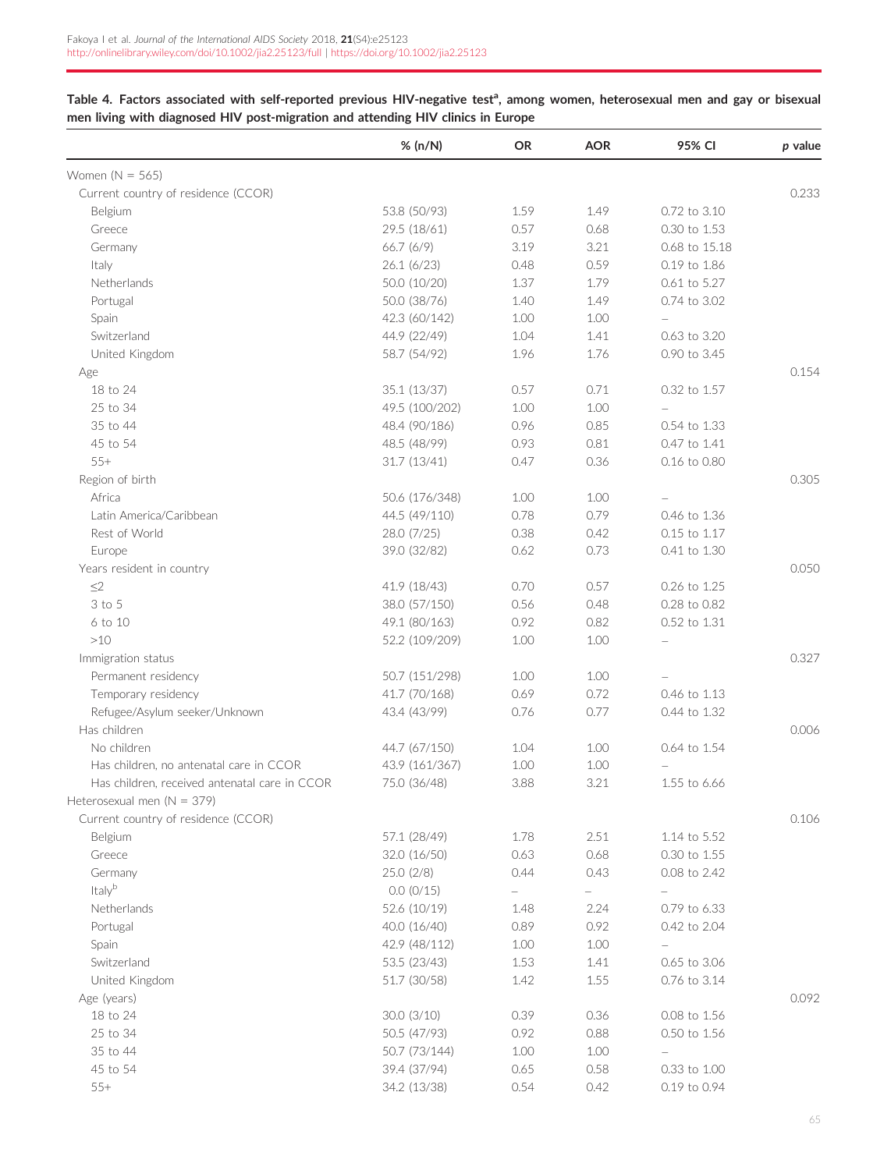<span id="page-5-0"></span>

| Table 4. Factors associated with self-reported previous HIV-negative test <sup>a</sup> , among women, heterosexual men and gay or bisexual |  |  |
|--------------------------------------------------------------------------------------------------------------------------------------------|--|--|
| men living with diagnosed HIV post-migration and attending HIV clinics in Europe                                                           |  |  |

|                                               | % (n/N)        | <b>OR</b>                | <b>AOR</b>               | 95% CI                   | p value |
|-----------------------------------------------|----------------|--------------------------|--------------------------|--------------------------|---------|
| Women $(N = 565)$                             |                |                          |                          |                          |         |
| Current country of residence (CCOR)           |                |                          |                          |                          | 0.233   |
| Belgium                                       | 53.8 (50/93)   | 1.59                     | 1.49                     | 0.72 to 3.10             |         |
| Greece                                        | 29.5 (18/61)   | 0.57                     | 0.68                     | 0.30 to 1.53             |         |
| Germany                                       | 66.7(6/9)      | 3.19                     | 3.21                     | 0.68 to 15.18            |         |
| Italy                                         | 26.1(6/23)     | 0.48                     | 0.59                     | 0.19 to 1.86             |         |
| Netherlands                                   | 50.0 (10/20)   | 1.37                     | 1.79                     | 0.61 to 5.27             |         |
| Portugal                                      | 50.0 (38/76)   | 1.40                     | 1.49                     | 0.74 to 3.02             |         |
| Spain                                         | 42.3 (60/142)  | 1.00                     | 1.00                     | $\overline{\phantom{0}}$ |         |
| Switzerland                                   | 44.9 (22/49)   | 1.04                     | 1.41                     | 0.63 to 3.20             |         |
| United Kingdom                                | 58.7 (54/92)   | 1.96                     | 1.76                     | 0.90 to 3.45             |         |
| Age                                           |                |                          |                          |                          | 0.154   |
| 18 to 24                                      | 35.1 (13/37)   | 0.57                     | 0.71                     | 0.32 to 1.57             |         |
| 25 to 34                                      | 49.5 (100/202) | $1.00\,$                 | 1.00                     |                          |         |
| 35 to 44                                      | 48.4 (90/186)  | 0.96                     | 0.85                     | 0.54 to 1.33             |         |
| 45 to 54                                      | 48.5 (48/99)   | 0.93                     | 0.81                     | 0.47 to 1.41             |         |
| $55+$                                         | 31.7(13/41)    | 0.47                     | 0.36                     | 0.16 to 0.80             |         |
| Region of birth                               |                |                          |                          |                          | 0.305   |
| Africa                                        | 50.6 (176/348) | 1.00                     | 1.00                     |                          |         |
| Latin America/Caribbean                       | 44.5 (49/110)  | 0.78                     | 0.79                     | 0.46 to 1.36             |         |
| Rest of World                                 | 28.0 (7/25)    | 0.38                     | 0.42                     | 0.15 to 1.17             |         |
| Europe                                        | 39.0 (32/82)   | 0.62                     | 0.73                     | 0.41 to 1.30             |         |
| Years resident in country                     |                |                          |                          |                          | 0.050   |
| $\leq$ 2                                      | 41.9 (18/43)   | 0.70                     | 0.57                     | 0.26 to 1.25             |         |
| 3 to 5                                        | 38.0 (57/150)  | 0.56                     | 0.48                     | 0.28 to 0.82             |         |
| 6 to 10                                       | 49.1 (80/163)  | 0.92                     | 0.82                     | 0.52 to 1.31             |         |
| $>10$                                         | 52.2 (109/209) | 1.00                     | 1.00                     |                          |         |
| Immigration status                            |                |                          |                          |                          | 0.327   |
| Permanent residency                           | 50.7 (151/298) | 1.00                     | 1.00                     |                          |         |
| Temporary residency                           | 41.7 (70/168)  | 0.69                     | 0.72                     | 0.46 to 1.13             |         |
| Refugee/Asylum seeker/Unknown                 | 43.4 (43/99)   | 0.76                     | 0.77                     | 0.44 to 1.32             |         |
| Has children                                  |                |                          |                          |                          | 0.006   |
| No children                                   | 44.7 (67/150)  | 1.04                     | 1.00                     | 0.64 to 1.54             |         |
| Has children, no antenatal care in CCOR       | 43.9 (161/367) | 1.00                     | 1.00                     |                          |         |
| Has children, received antenatal care in CCOR | 75.0 (36/48)   | 3.88                     | 3.21                     | 1.55 to 6.66             |         |
| Heterosexual men ( $N = 379$ )                |                |                          |                          |                          |         |
| Current country of residence (CCOR)           |                |                          |                          |                          | 0.106   |
| Belgium                                       | 57.1 (28/49)   | 1.78                     | 2.51                     | 1.14 to 5.52             |         |
| Greece                                        | 32.0(16/50)    | 0.63                     | 0.68                     | $0.30$ to $1.55$         |         |
| Germany                                       | 25.0(2/8)      | 0.44                     | 0.43                     | 0.08 to 2.42             |         |
| Italyb                                        | 0.0 (0/15)     | $\overline{\phantom{0}}$ | $\overline{\phantom{0}}$ |                          |         |
| Netherlands                                   | 52.6 (10/19)   | 1.48                     | 2.24                     | 0.79 to 6.33             |         |
| Portugal                                      | 40.0 (16/40)   | 0.89                     | 0.92                     | 0.42 to 2.04             |         |
| Spain                                         | 42.9 (48/112)  | 1.00                     | 1.00                     | ÷,                       |         |
| Switzerland                                   | 53.5 (23/43)   | 1.53                     | 1.41                     | 0.65 to 3.06             |         |
| United Kingdom                                | 51.7 (30/58)   | 1.42                     | 1.55                     | 0.76 to 3.14             |         |
| Age (years)                                   |                |                          |                          |                          | 0.092   |
| 18 to 24                                      | 30.0 (3/10)    | 0.39                     | 0.36                     | 0.08 to 1.56             |         |
| 25 to 34                                      | 50.5 (47/93)   | 0.92                     | 0.88                     | 0.50 to 1.56             |         |
| 35 to 44                                      | 50.7 (73/144)  | 1.00                     | 1.00                     | $\overline{\phantom{0}}$ |         |
| 45 to 54                                      | 39.4 (37/94)   | 0.65                     | 0.58                     | 0.33 to 1.00             |         |
| $55+$                                         | 34.2 (13/38)   | 0.54                     | 0.42                     | 0.19 to 0.94             |         |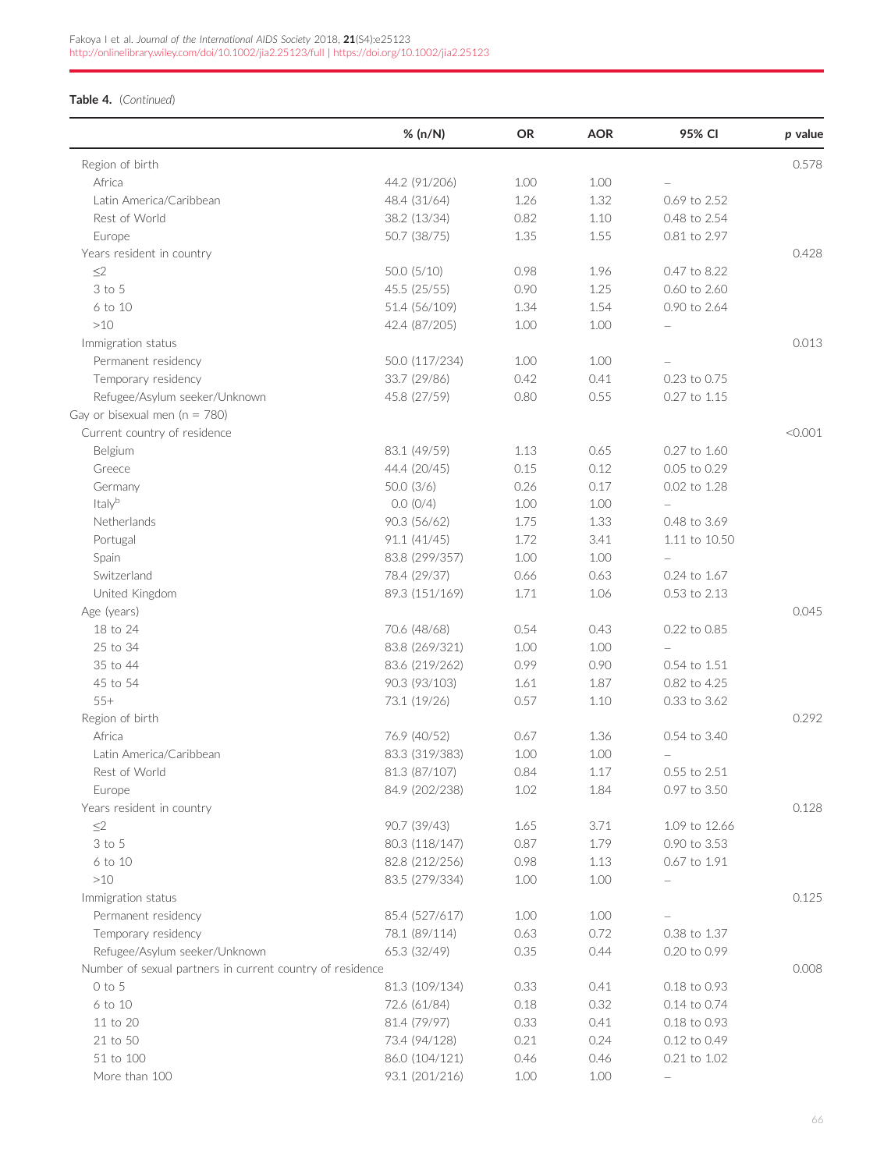## Table 4. (Continued)

|                                                           | % (n/N)        | <b>OR</b> | <b>AOR</b> | 95% CI        | p value |
|-----------------------------------------------------------|----------------|-----------|------------|---------------|---------|
| Region of birth                                           |                |           |            |               | 0.578   |
| Africa                                                    | 44.2 (91/206)  | 1.00      | 1.00       |               |         |
| Latin America/Caribbean                                   | 48.4 (31/64)   | 1.26      | 1.32       | 0.69 to 2.52  |         |
| Rest of World                                             | 38.2 (13/34)   | 0.82      | 1.10       | 0.48 to 2.54  |         |
| Europe                                                    | 50.7 (38/75)   | 1.35      | 1.55       | 0.81 to 2.97  |         |
| Years resident in country                                 |                |           |            |               | 0.428   |
| $\leq$                                                    | 50.0(5/10)     | 0.98      | 1.96       | 0.47 to 8.22  |         |
| 3 to 5                                                    | 45.5 (25/55)   | 0.90      | 1.25       | 0.60 to 2.60  |         |
| 6 to 10                                                   | 51.4 (56/109)  | 1.34      | 1.54       | 0.90 to 2.64  |         |
| >10                                                       | 42.4 (87/205)  | 1.00      | 1.00       |               |         |
| Immigration status                                        |                |           |            |               | 0.013   |
| Permanent residency                                       | 50.0 (117/234) | 1.00      | 1.00       |               |         |
| Temporary residency                                       | 33.7 (29/86)   | 0.42      | 0.41       | 0.23 to 0.75  |         |
| Refugee/Asylum seeker/Unknown                             | 45.8 (27/59)   | 0.80      | 0.55       | 0.27 to 1.15  |         |
| Gay or bisexual men ( $n = 780$ )                         |                |           |            |               |         |
| Current country of residence                              |                |           |            |               | < 0.001 |
| Belgium                                                   | 83.1 (49/59)   | 1.13      | 0.65       | 0.27 to 1.60  |         |
| Greece                                                    | 44.4 (20/45)   | 0.15      | 0.12       | 0.05 to 0.29  |         |
| Germany                                                   | 50.0(3/6)      | 0.26      | 0.17       | 0.02 to 1.28  |         |
| Italyb                                                    |                |           |            |               |         |
|                                                           | 0.0(0/4)       | 1.00      | 1.00       |               |         |
| Netherlands                                               | 90.3 (56/62)   | 1.75      | 1.33       | 0.48 to 3.69  |         |
| Portugal                                                  | 91.1 (41/45)   | 1.72      | 3.41       | 1.11 to 10.50 |         |
| Spain                                                     | 83.8 (299/357) | $1.00\,$  | 1.00       |               |         |
| Switzerland                                               | 78.4 (29/37)   | 0.66      | 0.63       | 0.24 to 1.67  |         |
| United Kingdom                                            | 89.3 (151/169) | 1.71      | 1.06       | 0.53 to 2.13  |         |
| Age (years)                                               |                |           |            |               | 0.045   |
| 18 to 24                                                  | 70.6 (48/68)   | 0.54      | 0.43       | 0.22 to 0.85  |         |
| 25 to 34                                                  | 83.8 (269/321) | 1.00      | 1.00       |               |         |
| 35 to 44                                                  | 83.6 (219/262) | 0.99      | 0.90       | 0.54 to 1.51  |         |
| 45 to 54                                                  | 90.3 (93/103)  | 1.61      | 1.87       | 0.82 to 4.25  |         |
| $55+$                                                     | 73.1 (19/26)   | 0.57      | 1.10       | 0.33 to 3.62  |         |
| Region of birth                                           |                |           |            |               | 0.292   |
| Africa                                                    | 76.9 (40/52)   | 0.67      | 1.36       | 0.54 to 3.40  |         |
| Latin America/Caribbean                                   | 83.3 (319/383) | 1.00      | 1.00       |               |         |
| Rest of World                                             | 81.3 (87/107)  | 0.84      | 1.17       | 0.55 to 2.51  |         |
| Europe                                                    | 84.9 (202/238) | $1.02\,$  | 1.84       | 0.97 to 3.50  |         |
| Years resident in country                                 |                |           |            |               | 0.128   |
| $\leq$ 2                                                  | 90.7 (39/43)   | 1.65      | 3.71       | 1.09 to 12.66 |         |
| 3 to 5                                                    | 80.3 (118/147) | 0.87      | 1.79       | 0.90 to 3.53  |         |
| 6 to 10                                                   | 82.8 (212/256) | 0.98      | 1.13       | 0.67 to 1.91  |         |
| $>10$                                                     | 83.5 (279/334) | 1.00      | 1.00       |               |         |
| Immigration status                                        |                |           |            |               | 0.125   |
| Permanent residency                                       | 85.4 (527/617) | 1.00      | 1.00       |               |         |
| Temporary residency                                       | 78.1 (89/114)  | 0.63      | 0.72       | 0.38 to 1.37  |         |
| Refugee/Asylum seeker/Unknown                             | 65.3 (32/49)   | 0.35      | 0.44       | 0.20 to 0.99  |         |
| Number of sexual partners in current country of residence |                |           |            |               | 0.008   |
| O to 5                                                    | 81.3 (109/134) | 0.33      | 0.41       | 0.18 to 0.93  |         |
| 6 to 10                                                   | 72.6 (61/84)   | 0.18      | 0.32       | 0.14 to 0.74  |         |
| 11 to 20                                                  | 81.4 (79/97)   | 0.33      | 0.41       | 0.18 to 0.93  |         |
| 21 to 50                                                  | 73.4 (94/128)  | 0.21      | 0.24       | 0.12 to 0.49  |         |
| 51 to 100                                                 | 86.0 (104/121) | 0.46      | 0.46       | 0.21 to 1.02  |         |
| More than 100                                             | 93.1 (201/216) | $1.00\,$  | 1.00       |               |         |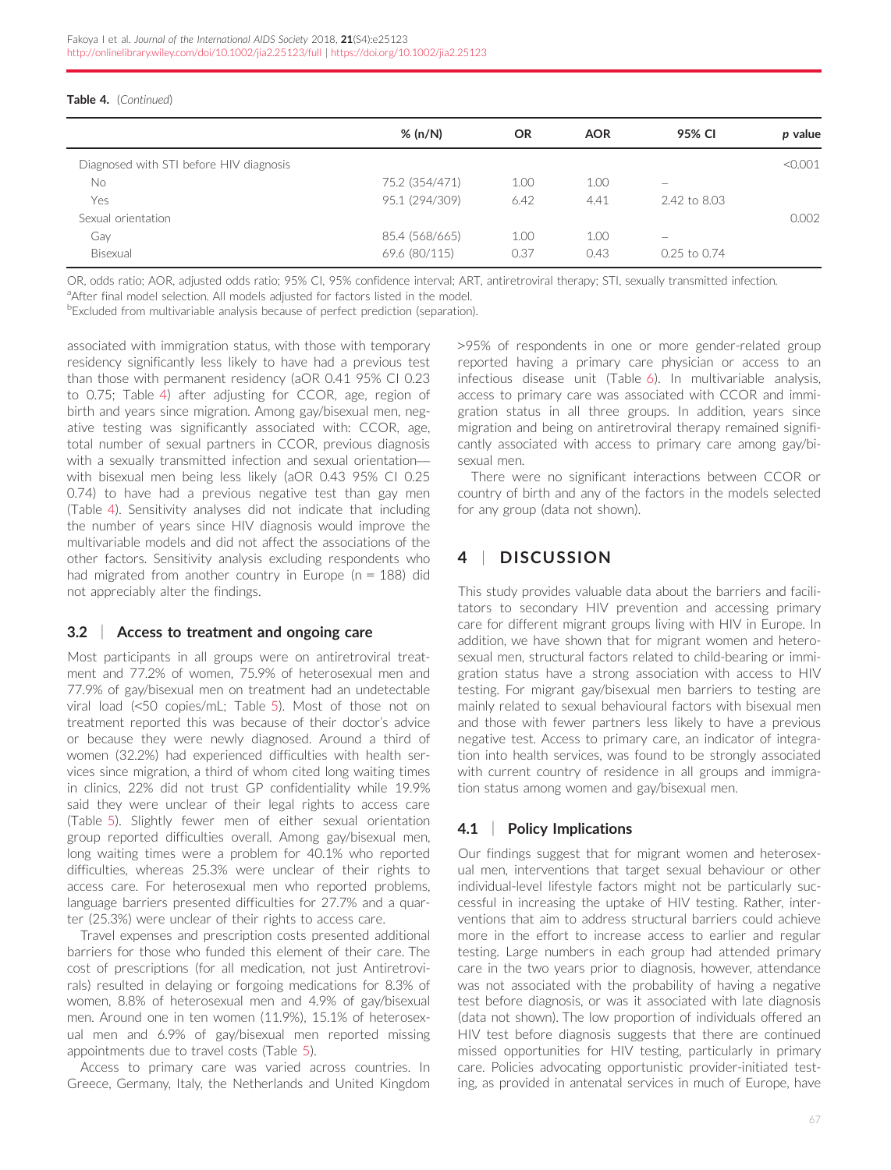#### Table 4. (Continued)

|                                         | % (n/N)        | <b>OR</b> | <b>AOR</b> | 95% CI           | p value |
|-----------------------------------------|----------------|-----------|------------|------------------|---------|
| Diagnosed with STI before HIV diagnosis |                |           |            |                  | < 0.001 |
| <b>No</b>                               | 75.2 (354/471) | 1.00      | 1.00       | -                |         |
| Yes                                     | 95.1 (294/309) | 6.42      | 4.41       | 2.42 to 8.03     |         |
| Sexual orientation                      |                |           |            |                  | 0.002   |
| Gay                                     | 85.4 (568/665) | 1.00      | 1.00       | -                |         |
| Bisexual                                | 69.6 (80/115)  | 0.37      | 0.43       | $0.25$ to $0.74$ |         |

OR, odds ratio; AOR, adjusted odds ratio; 95% CI, 95% confidence interval; ART, antiretroviral therapy; STI, sexually transmitted infection.

<sup>a</sup>After final model selection. All models adjusted for factors listed in the model.

**Excluded from multivariable analysis because of perfect prediction (separation).** 

associated with immigration status, with those with temporary residency significantly less likely to have had a previous test than those with permanent residency (aOR 0.41 95% CI 0.23 to 0.75; Table [4\)](#page-5-0) after adjusting for CCOR, age, region of birth and years since migration. Among gay/bisexual men, negative testing was significantly associated with: CCOR, age, total number of sexual partners in CCOR, previous diagnosis with a sexually transmitted infection and sexual orientationwith bisexual men being less likely (aOR 0.43 95% CI 0.25 0.74) to have had a previous negative test than gay men (Table [4\)](#page-5-0). Sensitivity analyses did not indicate that including the number of years since HIV diagnosis would improve the multivariable models and did not affect the associations of the other factors. Sensitivity analysis excluding respondents who had migrated from another country in Europe ( $n = 188$ ) did not appreciably alter the findings.

## 3.2 | Access to treatment and ongoing care

Most participants in all groups were on antiretroviral treatment and 77.2% of women, 75.9% of heterosexual men and 77.9% of gay/bisexual men on treatment had an undetectable viral load (<50 copies/mL; Table [5](#page-8-0)). Most of those not on treatment reported this was because of their doctor's advice or because they were newly diagnosed. Around a third of women (32.2%) had experienced difficulties with health services since migration, a third of whom cited long waiting times in clinics, 22% did not trust GP confidentiality while 19.9% said they were unclear of their legal rights to access care (Table [5\)](#page-8-0). Slightly fewer men of either sexual orientation group reported difficulties overall. Among gay/bisexual men, long waiting times were a problem for 40.1% who reported difficulties, whereas 25.3% were unclear of their rights to access care. For heterosexual men who reported problems, language barriers presented difficulties for 27.7% and a quarter (25.3%) were unclear of their rights to access care.

Travel expenses and prescription costs presented additional barriers for those who funded this element of their care. The cost of prescriptions (for all medication, not just Antiretrovirals) resulted in delaying or forgoing medications for 8.3% of women, 8.8% of heterosexual men and 4.9% of gay/bisexual men. Around one in ten women (11.9%), 15.1% of heterosexual men and 6.9% of gay/bisexual men reported missing appointments due to travel costs (Table [5](#page-8-0)).

Access to primary care was varied across countries. In Greece, Germany, Italy, the Netherlands and United Kingdom >95% of respondents in one or more gender-related group reported having a primary care physician or access to an infectious disease unit (Table [6](#page-9-0)). In multivariable analysis, access to primary care was associated with CCOR and immigration status in all three groups. In addition, years since migration and being on antiretroviral therapy remained significantly associated with access to primary care among gay/bisexual men.

There were no significant interactions between CCOR or country of birth and any of the factors in the models selected for any group (data not shown).

## 4 | DISCUSSION

This study provides valuable data about the barriers and facilitators to secondary HIV prevention and accessing primary care for different migrant groups living with HIV in Europe. In addition, we have shown that for migrant women and heterosexual men, structural factors related to child-bearing or immigration status have a strong association with access to HIV testing. For migrant gay/bisexual men barriers to testing are mainly related to sexual behavioural factors with bisexual men and those with fewer partners less likely to have a previous negative test. Access to primary care, an indicator of integration into health services, was found to be strongly associated with current country of residence in all groups and immigration status among women and gay/bisexual men.

## 4.1 | Policy Implications

Our findings suggest that for migrant women and heterosexual men, interventions that target sexual behaviour or other individual-level lifestyle factors might not be particularly successful in increasing the uptake of HIV testing. Rather, interventions that aim to address structural barriers could achieve more in the effort to increase access to earlier and regular testing. Large numbers in each group had attended primary care in the two years prior to diagnosis, however, attendance was not associated with the probability of having a negative test before diagnosis, or was it associated with late diagnosis (data not shown). The low proportion of individuals offered an HIV test before diagnosis suggests that there are continued missed opportunities for HIV testing, particularly in primary care. Policies advocating opportunistic provider-initiated testing, as provided in antenatal services in much of Europe, have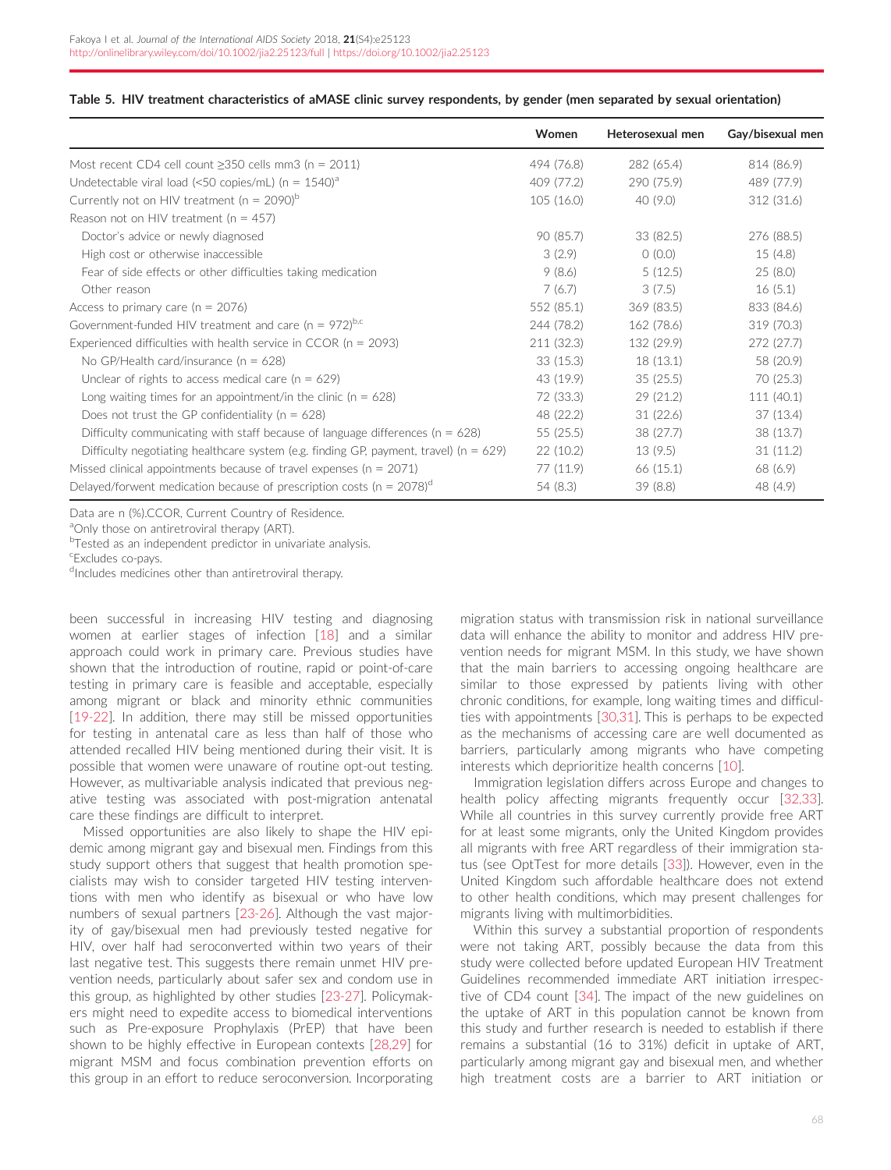|                                                                                           | Women      | Heterosexual men | Gay/bisexual men |
|-------------------------------------------------------------------------------------------|------------|------------------|------------------|
| Most recent CD4 cell count $\geq$ 350 cells mm3 (n = 2011)                                | 494 (76.8) | 282 (65.4)       | 814 (86.9)       |
| Undetectable viral load (<50 copies/mL) ( $n = 1540$ ) <sup>a</sup>                       | 409 (77.2) | 290 (75.9)       | 489 (77.9)       |
| Currently not on HIV treatment ( $n = 2090$ ) <sup>b</sup>                                | 105(16.0)  | 40 (9.0)         | 312 (31.6)       |
| Reason not on HIV treatment ( $n = 457$ )                                                 |            |                  |                  |
| Doctor's advice or newly diagnosed                                                        | 90 (85.7)  | 33(82.5)         | 276 (88.5)       |
| High cost or otherwise inaccessible                                                       | 3(2.9)     | 0(0.0)           | 15(4.8)          |
| Fear of side effects or other difficulties taking medication                              | 9(8.6)     | 5(12.5)          | 25(8.0)          |
| Other reason                                                                              | 7(6.7)     | 3(7.5)           | 16(5.1)          |
| Access to primary care ( $n = 2076$ )                                                     | 552 (85.1) | 369(83.5)        | 833 (84.6)       |
| Government-funded HIV treatment and care ( $n = 972$ )b,c                                 | 244 (78.2) | 162 (78.6)       | 319 (70.3)       |
| Experienced difficulties with health service in CCOR ( $n = 2093$ )                       | 211 (32.3) | 132 (29.9)       | 272 (27.7)       |
| No GP/Health card/insurance ( $n = 628$ )                                                 | 33(15.3)   | 18(13.1)         | 58 (20.9)        |
| Unclear of rights to access medical care ( $n = 629$ )                                    | 43 (19.9)  | 35(25.5)         | 70 (25.3)        |
| Long waiting times for an appointment/in the clinic ( $n = 628$ )                         | 72 (33.3)  | 29(21.2)         | 111 (40.1)       |
| Does not trust the GP confidentiality ( $n = 628$ )                                       | 48 (22.2)  | 31(22.6)         | 37(13.4)         |
| Difficulty communicating with staff because of language differences ( $n = 628$ )         | 55(25.5)   | 38 (27.7)        | 38 (13.7)        |
| Difficulty negotiating healthcare system (e.g. finding GP, payment, travel) ( $n = 629$ ) | 22(10.2)   | 13(9.5)          | 31(11.2)         |
| Missed clinical appointments because of travel expenses ( $n = 2071$ )                    | 77 (11.9)  | 66(15.1)         | 68 (6.9)         |
| Delayed/forwent medication because of prescription costs ( $n = 2078$ ) <sup>d</sup>      | 54 (8.3)   | 39(8.8)          | 48 (4.9)         |

#### <span id="page-8-0"></span>Table 5. HIV treatment characteristics of aMASE clinic survey respondents, by gender (men separated by sexual orientation)

Data are n (%).CCOR, Current Country of Residence.

aOnly those on antiretroviral therapy (ART).

<sup>b</sup>Tested as an independent predictor in univariate analysis.

c Excludes co-pays.

dIncludes medicines other than antiretroviral therapy.

been successful in increasing HIV testing and diagnosing women at earlier stages of infection [\[18\]](#page-12-0) and a similar approach could work in primary care. Previous studies have shown that the introduction of routine, rapid or point-of-care testing in primary care is feasible and acceptable, especially among migrant or black and minority ethnic communities [\[19-22\]](#page-12-0). In addition, there may still be missed opportunities for testing in antenatal care as less than half of those who attended recalled HIV being mentioned during their visit. It is possible that women were unaware of routine opt-out testing. However, as multivariable analysis indicated that previous negative testing was associated with post-migration antenatal care these findings are difficult to interpret.

Missed opportunities are also likely to shape the HIV epidemic among migrant gay and bisexual men. Findings from this study support others that suggest that health promotion specialists may wish to consider targeted HIV testing interventions with men who identify as bisexual or who have low numbers of sexual partners [\[23-26\]](#page-12-0). Although the vast majority of gay/bisexual men had previously tested negative for HIV, over half had seroconverted within two years of their last negative test. This suggests there remain unmet HIV prevention needs, particularly about safer sex and condom use in this group, as highlighted by other studies [\[23-27\]](#page-12-0). Policymakers might need to expedite access to biomedical interventions such as Pre-exposure Prophylaxis (PrEP) that have been shown to be highly effective in European contexts [[28,29](#page-12-0)] for migrant MSM and focus combination prevention efforts on this group in an effort to reduce seroconversion. Incorporating

migration status with transmission risk in national surveillance data will enhance the ability to monitor and address HIV prevention needs for migrant MSM. In this study, we have shown that the main barriers to accessing ongoing healthcare are similar to those expressed by patients living with other chronic conditions, for example, long waiting times and difficulties with appointments [[30,31](#page-12-0)]. This is perhaps to be expected as the mechanisms of accessing care are well documented as barriers, particularly among migrants who have competing interests which deprioritize health concerns [[10](#page-12-0)].

Immigration legislation differs across Europe and changes to health policy affecting migrants frequently occur [[32,33](#page-12-0)]. While all countries in this survey currently provide free ART for at least some migrants, only the United Kingdom provides all migrants with free ART regardless of their immigration status (see OptTest for more details [[33](#page-12-0)]). However, even in the United Kingdom such affordable healthcare does not extend to other health conditions, which may present challenges for migrants living with multimorbidities.

Within this survey a substantial proportion of respondents were not taking ART, possibly because the data from this study were collected before updated European HIV Treatment Guidelines recommended immediate ART initiation irrespective of CD4 count [[34\]](#page-12-0). The impact of the new guidelines on the uptake of ART in this population cannot be known from this study and further research is needed to establish if there remains a substantial (16 to 31%) deficit in uptake of ART, particularly among migrant gay and bisexual men, and whether high treatment costs are a barrier to ART initiation or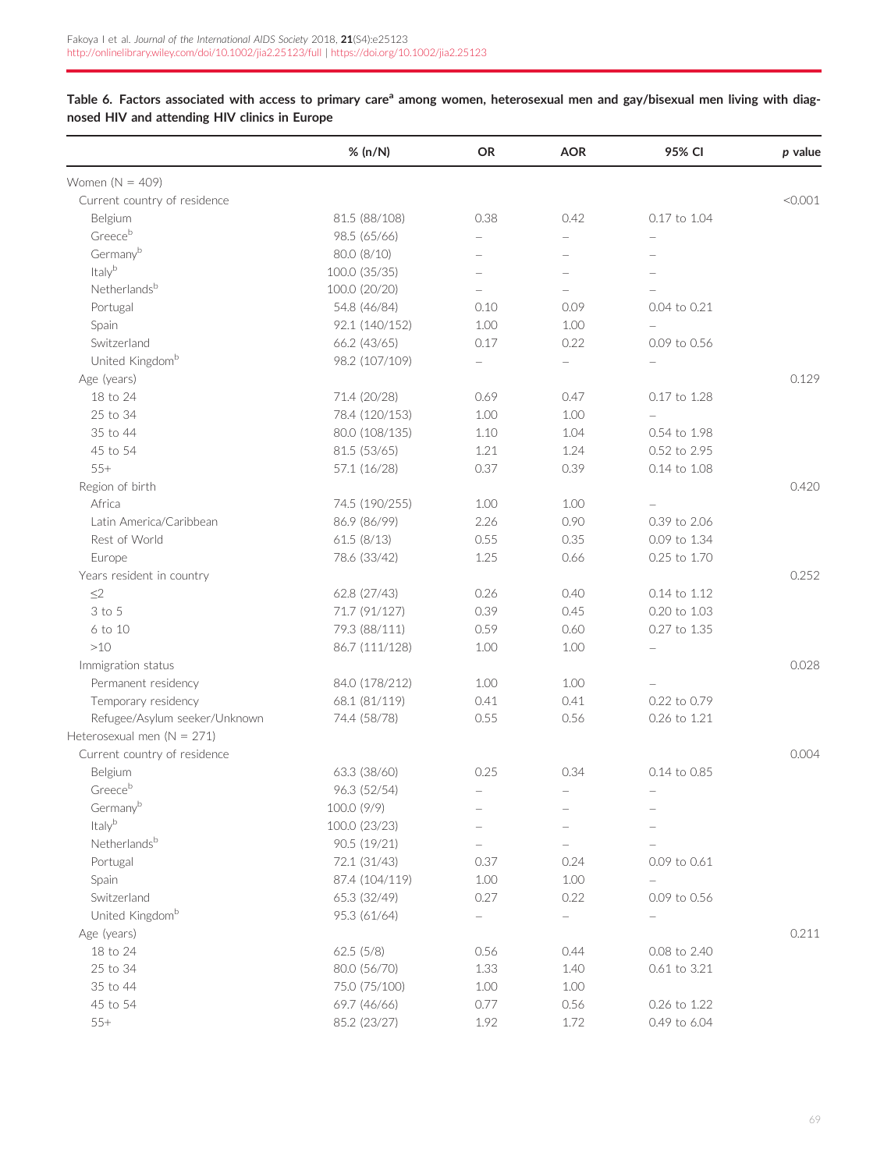<span id="page-9-0"></span>Table 6. Factors associated with access to primary care<sup>a</sup> among women, heterosexual men and gay/bisexual men living with diagnosed HIV and attending HIV clinics in Europe

|                                | % (n/N)        | <b>OR</b>                | <b>AOR</b>               | 95% CI       | p value |
|--------------------------------|----------------|--------------------------|--------------------------|--------------|---------|
| Women $(N = 409)$              |                |                          |                          |              |         |
| Current country of residence   |                |                          |                          |              | < 0.001 |
| Belgium                        | 81.5 (88/108)  | 0.38                     | 0.42                     | 0.17 to 1.04 |         |
| Greeceb                        | 98.5 (65/66)   |                          | $\overline{\phantom{0}}$ |              |         |
| Germanyb                       | 80.0 (8/10)    |                          |                          |              |         |
| Italyb                         | 100.0 (35/35)  |                          |                          |              |         |
| Netherlandsb                   | 100.0 (20/20)  |                          |                          |              |         |
| Portugal                       | 54.8 (46/84)   | 0.10                     | 0.09                     | 0.04 to 0.21 |         |
| Spain                          | 92.1 (140/152) | 1.00                     | 1.00                     |              |         |
| Switzerland                    | 66.2 (43/65)   | 0.17                     | 0.22                     | 0.09 to 0.56 |         |
| United Kingdom <sup>b</sup>    | 98.2 (107/109) |                          | $\overline{\phantom{a}}$ |              |         |
| Age (years)                    |                |                          |                          |              | 0.129   |
| 18 to 24                       | 71.4 (20/28)   | 0.69                     | 0.47                     | 0.17 to 1.28 |         |
| 25 to 34                       | 78.4 (120/153) | 1.00                     | 1.00                     |              |         |
| 35 to 44                       | 80.0 (108/135) | 1.10                     | 1.04                     | 0.54 to 1.98 |         |
| 45 to 54                       | 81.5 (53/65)   | 1.21                     | 1.24                     | 0.52 to 2.95 |         |
| $55+$                          | 57.1 (16/28)   | 0.37                     | 0.39                     | 0.14 to 1.08 |         |
| Region of birth                |                |                          |                          |              | 0.420   |
| Africa                         | 74.5 (190/255) | 1.00                     | 1.00                     |              |         |
| Latin America/Caribbean        | 86.9 (86/99)   | 2.26                     | 0.90                     | 0.39 to 2.06 |         |
| Rest of World                  | 61.5(8/13)     | 0.55                     | 0.35                     | 0.09 to 1.34 |         |
| Europe                         | 78.6 (33/42)   | 1.25                     | 0.66                     | 0.25 to 1.70 |         |
| Years resident in country      |                |                          |                          |              | 0.252   |
| $\leq$ 2                       | 62.8 (27/43)   | 0.26                     | 0.40                     | 0.14 to 1.12 |         |
| 3 to 5                         | 71.7 (91/127)  | 0.39                     | 0.45                     | 0.20 to 1.03 |         |
| 6 to 10                        | 79.3 (88/111)  | 0.59                     | 0.60                     | 0.27 to 1.35 |         |
| $>10$                          | 86.7 (111/128) | 1.00                     | 1.00                     |              |         |
| Immigration status             |                |                          |                          |              | 0.028   |
| Permanent residency            | 84.0 (178/212) | 1.00                     | 1.00                     |              |         |
| Temporary residency            | 68.1 (81/119)  | 0.41                     | 0.41                     | 0.22 to 0.79 |         |
| Refugee/Asylum seeker/Unknown  | 74.4 (58/78)   | 0.55                     | 0.56                     | 0.26 to 1.21 |         |
| Heterosexual men ( $N = 271$ ) |                |                          |                          |              |         |
| Current country of residence   |                |                          |                          |              | 0.004   |
| Belgium                        | 63.3 (38/60)   | 0.25                     | 0.34                     | 0.14 to 0.85 |         |
| Greeceb                        | 96.3 (52/54)   | $\qquad \qquad -$        | $\qquad \qquad -$        |              |         |
| Germanyb                       | 100.0 (9/9)    |                          |                          |              |         |
| Italyb                         | 100.0 (23/23)  |                          |                          |              |         |
| Netherlandsb                   | 90.5 (19/21)   |                          |                          |              |         |
| Portugal                       | 72.1 (31/43)   | 0.37                     | 0.24                     | 0.09 to 0.61 |         |
| Spain                          | 87.4 (104/119) | 1.00                     | 1.00                     |              |         |
| Switzerland                    | 65.3 (32/49)   | 0.27                     | 0.22                     | 0.09 to 0.56 |         |
| United Kingdom <sup>b</sup>    | 95.3 (61/64)   | $\overline{\phantom{a}}$ |                          |              |         |
| Age (years)                    |                |                          |                          |              | 0.211   |
| 18 to 24                       | 62.5(5/8)      | 0.56                     | 0.44                     | 0.08 to 2.40 |         |
| 25 to 34                       | 80.0 (56/70)   | 1.33                     | 1.40                     | 0.61 to 3.21 |         |
| 35 to 44                       | 75.0 (75/100)  | 1.00                     | 1.00                     |              |         |
| 45 to 54                       | 69.7 (46/66)   | 0.77                     | 0.56                     | 0.26 to 1.22 |         |
| $55+$                          | 85.2 (23/27)   | 1.92                     | 1.72                     | 0.49 to 6.04 |         |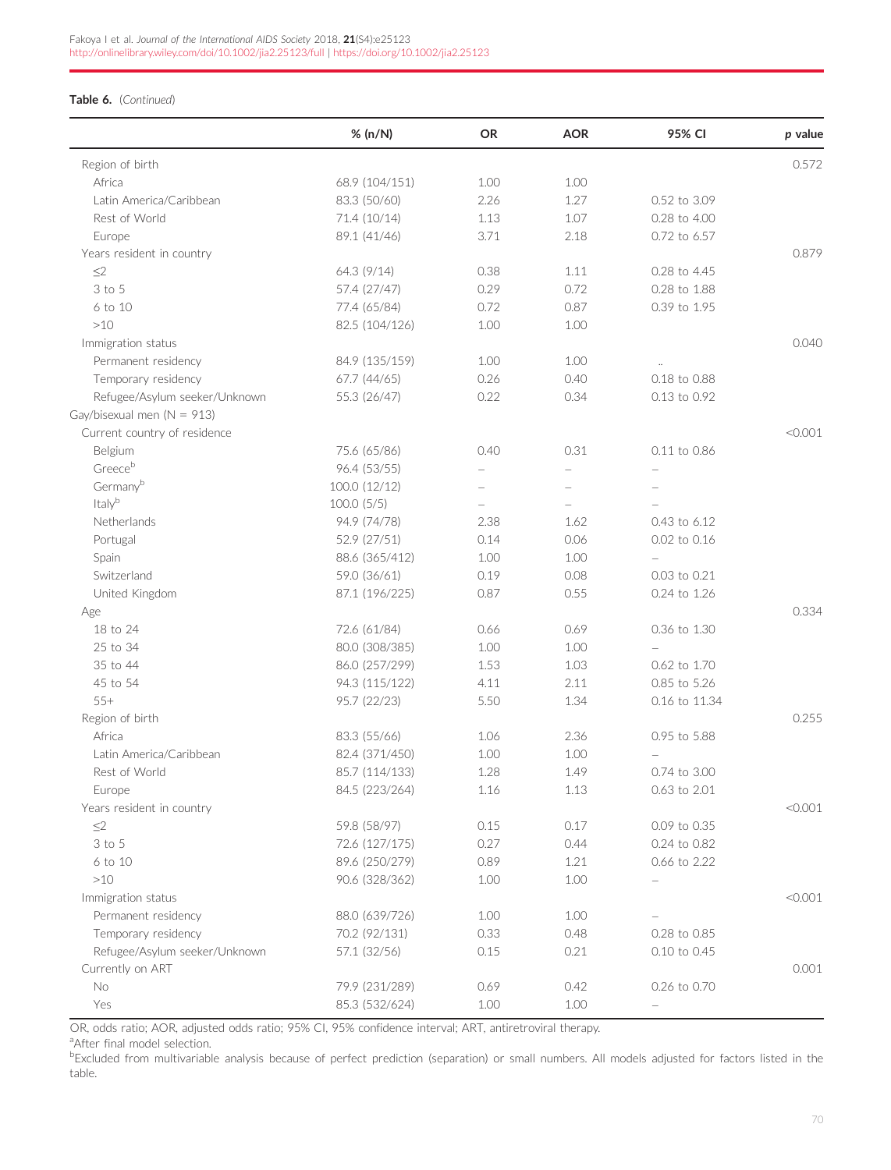## Table 6. (Continued)

|                                | % (n/N)        | <b>OR</b> | <b>AOR</b> | 95% CI        | $p$ value |
|--------------------------------|----------------|-----------|------------|---------------|-----------|
| Region of birth                |                |           |            |               | 0.572     |
| Africa                         | 68.9 (104/151) | 1.00      | 1.00       |               |           |
| Latin America/Caribbean        | 83.3 (50/60)   | 2.26      | 1.27       | 0.52 to 3.09  |           |
| Rest of World                  | 71.4 (10/14)   | 1.13      | 1.07       | 0.28 to 4.00  |           |
| Europe                         | 89.1 (41/46)   | 3.71      | 2.18       | 0.72 to 6.57  |           |
| Years resident in country      |                |           |            |               | 0.879     |
| $\leq$ 2                       | 64.3 (9/14)    | 0.38      | 1.11       | 0.28 to 4.45  |           |
| 3 to 5                         | 57.4 (27/47)   | 0.29      | 0.72       | 0.28 to 1.88  |           |
| 6 to 10                        | 77.4 (65/84)   | 0.72      | 0.87       | 0.39 to 1.95  |           |
| >10                            | 82.5 (104/126) | 1.00      | 1.00       |               |           |
| Immigration status             |                |           |            |               | 0.040     |
| Permanent residency            | 84.9 (135/159) | 1.00      | 1.00       |               |           |
| Temporary residency            | 67.7 (44/65)   | 0.26      | 0.40       | 0.18 to 0.88  |           |
| Refugee/Asylum seeker/Unknown  | 55.3 (26/47)   | 0.22      | 0.34       | 0.13 to 0.92  |           |
| Gay/bisexual men ( $N = 913$ ) |                |           |            |               |           |
| Current country of residence   |                |           |            |               | < 0.001   |
| Belgium                        | 75.6 (65/86)   | 0.40      | 0.31       | 0.11 to 0.86  |           |
| Greeceb                        | 96.4 (53/55)   |           |            |               |           |
| Germanyb                       | 100.0 (12/12)  |           |            |               |           |
| Italyb                         | 100.0(5/5)     |           |            |               |           |
| Netherlands                    | 94.9 (74/78)   | 2.38      | 1.62       | 0.43 to 6.12  |           |
| Portugal                       | 52.9 (27/51)   | 0.14      | 0.06       | 0.02 to 0.16  |           |
| Spain                          | 88.6 (365/412) | 1.00      | 1.00       |               |           |
| Switzerland                    | 59.0 (36/61)   | 0.19      | 0.08       | 0.03 to 0.21  |           |
| United Kingdom                 | 87.1 (196/225) | 0.87      | 0.55       | 0.24 to 1.26  |           |
| Age                            |                |           |            |               | 0.334     |
| 18 to 24                       | 72.6 (61/84)   | 0.66      | 0.69       | 0.36 to 1.30  |           |
| 25 to 34                       | 80.0 (308/385) | 1.00      | 1.00       |               |           |
| 35 to 44                       | 86.0 (257/299) | 1.53      | 1.03       | 0.62 to 1.70  |           |
| 45 to 54                       | 94.3 (115/122) | 4.11      | 2.11       | 0.85 to 5.26  |           |
| $55+$                          | 95.7 (22/23)   | 5.50      | 1.34       | 0.16 to 11.34 |           |
| Region of birth                |                |           |            |               | 0.255     |
| Africa                         | 83.3 (55/66)   | 1.06      | 2.36       | 0.95 to 5.88  |           |
| Latin America/Caribbean        | 82.4 (371/450) | 1.00      | 1.00       |               |           |
| Rest of World                  | 85.7 (114/133) | 1.28      | 1.49       | 0.74 to 3.00  |           |
| Europe                         | 84.5 (223/264) | 1.16      | 1.13       | 0.63 to 2.01  |           |
| Years resident in country      |                |           |            |               | < 0.001   |
| $\leq$ 2                       | 59.8 (58/97)   | 0.15      | 0.17       | 0.09 to 0.35  |           |
| 3 to 5                         | 72.6 (127/175) | 0.27      | 0.44       | 0.24 to 0.82  |           |
| 6 to 10                        | 89.6 (250/279) | 0.89      | 1.21       | 0.66 to 2.22  |           |
| $>10$                          | 90.6 (328/362) | 1.00      | 1.00       |               |           |
| Immigration status             |                |           |            |               | < 0.001   |
| Permanent residency            | 88.0 (639/726) | 1.00      | 1.00       |               |           |
| Temporary residency            | 70.2 (92/131)  | 0.33      | 0.48       | 0.28 to 0.85  |           |
| Refugee/Asylum seeker/Unknown  | 57.1 (32/56)   | 0.15      | 0.21       | 0.10 to 0.45  |           |
| Currently on ART               |                |           |            |               | 0.001     |
| No                             | 79.9 (231/289) | 0.69      | 0.42       | 0.26 to 0.70  |           |
| Yes                            | 85.3 (532/624) | 1.00      | 1.00       |               |           |
|                                |                |           |            |               |           |

OR, odds ratio; AOR, adjusted odds ratio; 95% CI, 95% confidence interval; ART, antiretroviral therapy.

<sup>a</sup>After final model selection.

**Excluded from multivariable analysis because of perfect prediction (separation) or small numbers. All models adjusted for factors listed in the** table.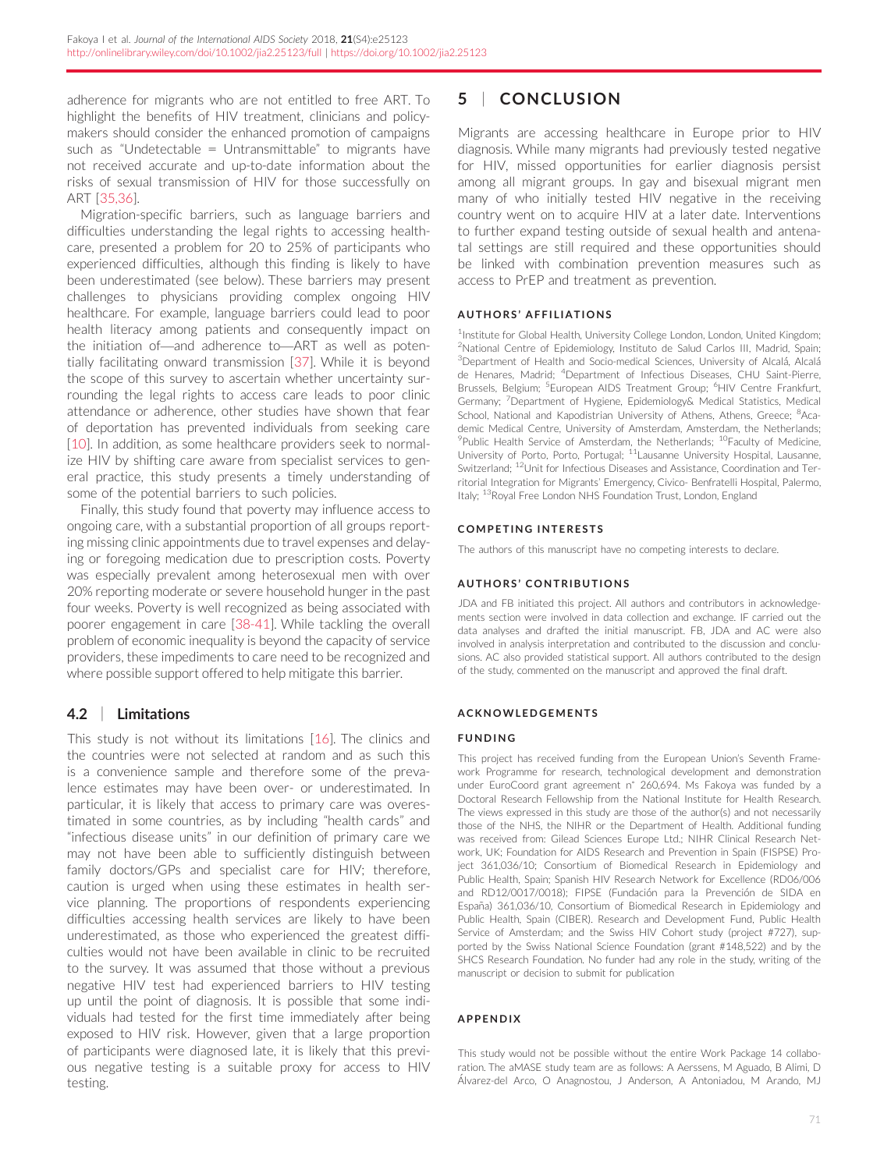adherence for migrants who are not entitled to free ART. To highlight the benefits of HIV treatment, clinicians and policymakers should consider the enhanced promotion of campaigns such as "Undetectable = Untransmittable" to migrants have not received accurate and up-to-date information about the risks of sexual transmission of HIV for those successfully on ART [[35,36\]](#page-12-0).

Migration-specific barriers, such as language barriers and difficulties understanding the legal rights to accessing healthcare, presented a problem for 20 to 25% of participants who experienced difficulties, although this finding is likely to have been underestimated (see below). These barriers may present challenges to physicians providing complex ongoing HIV healthcare. For example, language barriers could lead to poor health literacy among patients and consequently impact on the initiation of—and adherence to—ART as well as potentially facilitating onward transmission [[37\]](#page-12-0). While it is beyond the scope of this survey to ascertain whether uncertainty surrounding the legal rights to access care leads to poor clinic attendance or adherence, other studies have shown that fear of deportation has prevented individuals from seeking care [\[10\]](#page-12-0). In addition, as some healthcare providers seek to normalize HIV by shifting care aware from specialist services to general practice, this study presents a timely understanding of some of the potential barriers to such policies.

Finally, this study found that poverty may influence access to ongoing care, with a substantial proportion of all groups reporting missing clinic appointments due to travel expenses and delaying or foregoing medication due to prescription costs. Poverty was especially prevalent among heterosexual men with over 20% reporting moderate or severe household hunger in the past four weeks. Poverty is well recognized as being associated with poorer engagement in care [\[38-41\]](#page-12-0). While tackling the overall problem of economic inequality is beyond the capacity of service providers, these impediments to care need to be recognized and where possible support offered to help mitigate this barrier.

## 4.2 | Limitations

This study is not without its limitations [[16](#page-12-0)]. The clinics and the countries were not selected at random and as such this is a convenience sample and therefore some of the prevalence estimates may have been over- or underestimated. In particular, it is likely that access to primary care was overestimated in some countries, as by including "health cards" and "infectious disease units" in our definition of primary care we may not have been able to sufficiently distinguish between family doctors/GPs and specialist care for HIV; therefore, caution is urged when using these estimates in health service planning. The proportions of respondents experiencing difficulties accessing health services are likely to have been underestimated, as those who experienced the greatest difficulties would not have been available in clinic to be recruited to the survey. It was assumed that those without a previous negative HIV test had experienced barriers to HIV testing up until the point of diagnosis. It is possible that some individuals had tested for the first time immediately after being exposed to HIV risk. However, given that a large proportion of participants were diagnosed late, it is likely that this previous negative testing is a suitable proxy for access to HIV testing.

## 5 | CONCLUSION

Migrants are accessing healthcare in Europe prior to HIV diagnosis. While many migrants had previously tested negative for HIV, missed opportunities for earlier diagnosis persist among all migrant groups. In gay and bisexual migrant men many of who initially tested HIV negative in the receiving country went on to acquire HIV at a later date. Interventions to further expand testing outside of sexual health and antenatal settings are still required and these opportunities should be linked with combination prevention measures such as access to PrEP and treatment as prevention.

### **AUTHORS' AFFILIATIONS**

<sup>1</sup>Institute for Global Health, University College London, London, United Kingdom; <sup>2</sup>National Centre of Epidemiology, Instituto de Salud Carlos III, Madrid, Spain; <sup>3</sup>Department of Health and Socio-medical Sciences, University of Alcalá, Alcalá de Henares, Madrid; <sup>4</sup>Department of Infectious Diseases, CHU Saint-Pierre, Brussels, Belgium; <sup>5</sup>European AIDS Treatment Group; <sup>6</sup>HIV Centre Frankfurt, Germany; <sup>7</sup>Department of Hygiene, Epidemiology& Medical Statistics, Medical School, National and Kapodistrian University of Athens, Athens, Greece; <sup>8</sup>Academic Medical Centre, University of Amsterdam, Amsterdam, the Netherlands; <sup>9</sup>Public Health Service of Amsterdam, the Netherlands; <sup>10</sup>Faculty of Medicine, University of Porto, Porto, Portugal; <sup>11</sup>Lausanne University Hospital, Lausanne, Switzerland; 12Unit for Infectious Diseases and Assistance, Coordination and Territorial Integration for Migrants' Emergency, Civico- Benfratelli Hospital, Palermo, Italy; <sup>13</sup>Royal Free London NHS Foundation Trust, London, England

## COMPETING INTERESTS

The authors of this manuscript have no competing interests to declare.

## AUTHORS ' CONTRIBUTIONS

JDA and FB initiated this project. All authors and contributors in acknowledgements section were involved in data collection and exchange. IF carried out the data analyses and drafted the initial manuscript. FB, JDA and AC were also involved in analysis interpretation and contributed to the discussion and conclusions. AC also provided statistical support. All authors contributed to the design of the study, commented on the manuscript and approved the final draft.

### ACKNOWLEDGEMENTS

### FUNDING

This project has received funding from the European Union's Seventh Framework Programme for research, technological development and demonstration under EuroCoord grant agreement n˚ 260,694. Ms Fakoya was funded by a Doctoral Research Fellowship from the National Institute for Health Research. The views expressed in this study are those of the author(s) and not necessarily those of the NHS, the NIHR or the Department of Health. Additional funding was received from: Gilead Sciences Europe Ltd.; NIHR Clinical Research Network, UK; Foundation for AIDS Research and Prevention in Spain (FISPSE) Project 361,036/10; Consortium of Biomedical Research in Epidemiology and Public Health, Spain; Spanish HIV Research Network for Excellence (RD06/006 and RD12/0017/0018); FIPSE (Fundación para la Prevención de SIDA en España) 361,036/10, Consortium of Biomedical Research in Epidemiology and Public Health, Spain (CIBER). Research and Development Fund, Public Health Service of Amsterdam; and the Swiss HIV Cohort study (project #727), supported by the Swiss National Science Foundation (grant #148,522) and by the SHCS Research Foundation. No funder had any role in the study, writing of the manuscript or decision to submit for publication

## APPENDIX

This study would not be possible without the entire Work Package 14 collaboration. The aMASE study team are as follows: A Aerssens, M Aguado, B Alimi, D Alvarez-del Arco, O Anagnostou, J Anderson, A Antoniadou, M Arando, MJ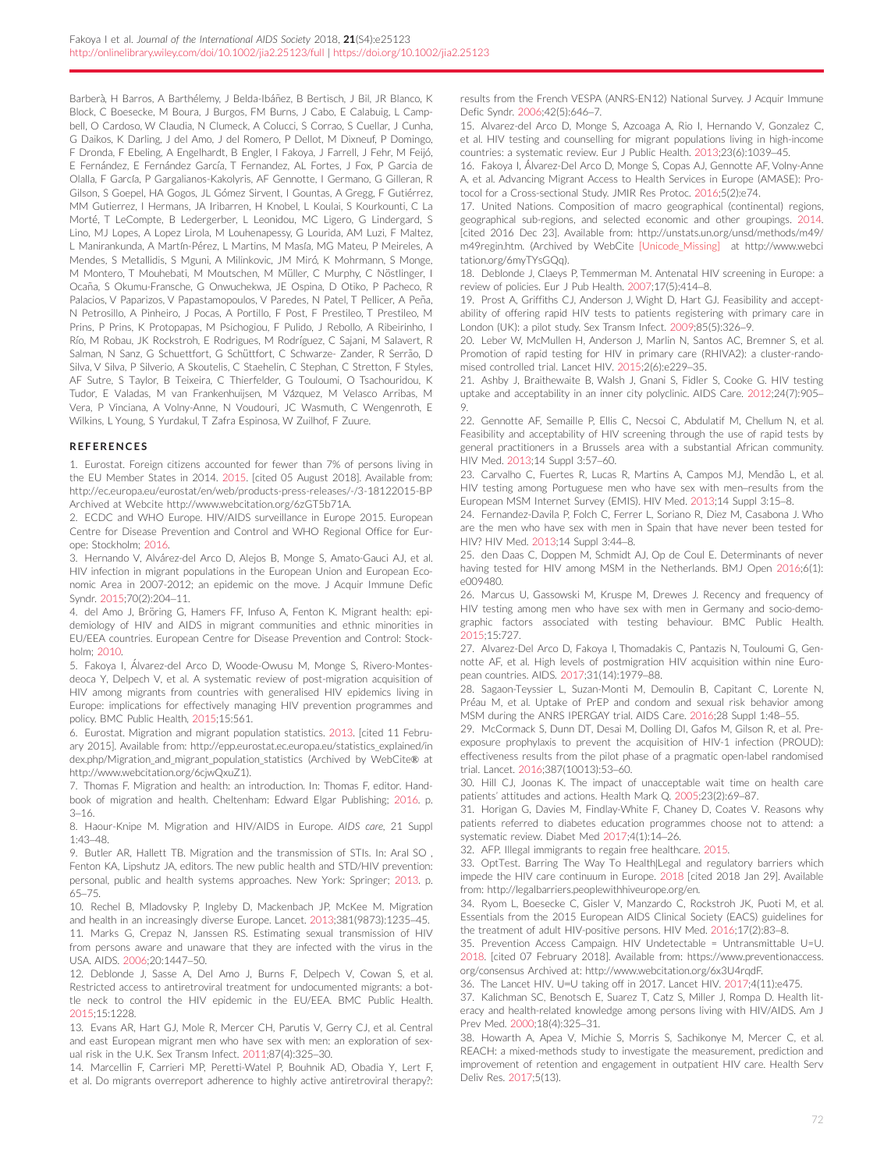<span id="page-12-0"></span>Barberà, H Barros, A Barthélemy, J Belda-Ibáñez, B Bertisch, J Bil, JR Blanco, K Block, C Boesecke, M Boura, J Burgos, FM Burns, J Cabo, E Calabuig, L Campbell, O Cardoso, W Claudia, N Clumeck, A Colucci, S Corrao, S Cuellar, J Cunha, G Daikos, K Darling, J del Amo, J del Romero, P Dellot, M Dixneuf, P Domingo, F Dronda, F Ebeling, A Engelhardt, B Engler, I Fakoya, J Farrell, J Fehr, M Feijo, E Fernández, E Fernández García, T Fernandez, AL Fortes, J Fox, P Garcia de Olalla, F García, P Gargalianos-Kakolyris, AF Gennotte, I Germano, G Gilleran, R Gilson, S Goepel, HA Gogos, JL Gómez Sirvent, I Gountas, A Gregg, F Gutiérrez, MM Gutierrez, I Hermans, JA Iribarren, H Knobel, L Koulai, S Kourkounti, C La Morté, T LeCompte, B Ledergerber, L Leonidou, MC Ligero, G Lindergard, S Lino, MJ Lopes, A Lopez Lirola, M Louhenapessy, G Lourida, AM Luzi, F Maltez, L Manirankunda, A Martín-Pérez, L Martins, M Masía, MG Mateu, P Meireles, A Mendes, S Metallidis, S Mguni, A Milinkovic, JM Miró, K Mohrmann, S Monge, M Montero, T Mouhebati, M Moutschen, M Müller, C Murphy, C Nöstlinger, I Ocaña, S Okumu-Fransche, G Onwuchekwa, JE Ospina, D Otiko, P Pacheco, R Palacios, V Paparizos, V Papastamopoulos, V Paredes, N Patel, T Pellicer, A Peña, N Petrosillo, A Pinheiro, J Pocas, A Portillo, F Post, F Prestileo, T Prestileo, M Prins, P Prins, K Protopapas, M Psichogiou, F Pulido, J Rebollo, A Ribeirinho, I Rıo, M Robau, JK Rockstroh, E Rodrigues, M Rodrıguez, C Sajani, M Salavert, R Salman, N Sanz, G Schuettfort, G Schüttfort, C Schwarze- Zander, R Serrão, D Silva, V Silva, P Silverio, A Skoutelis, C Staehelin, C Stephan, C Stretton, F Styles, AF Sutre, S Taylor, B Teixeira, C Thierfelder, G Touloumi, O Tsachouridou, K Tudor, E Valadas, M van Frankenhuijsen, M Vázquez, M Velasco Arribas, M Vera, P Vinciana, A Volny-Anne, N Voudouri, JC Wasmuth, C Wengenroth, E Wilkins, L Young, S Yurdakul, T Zafra Espinosa, W Zuilhof, F Zuure.

#### REFERENCES

1. Eurostat. Foreign citizens accounted for fewer than 7% of persons living in the EU Member States in 2014. 2015. [cited 05 August 2018]. Available from: <http://ec.europa.eu/eurostat/en/web/products-press-releases/-/3-18122015-BP> Archived at Webcite [http://www.webcitation.org/6zGT5b71A.](http://www.webcitation.org/6zGT5b71A)

2. ECDC and WHO Europe. HIV/AIDS surveillance in Europe 2015. European Centre for Disease Prevention and Control and WHO Regional Office for Europe: Stockholm; 2016.

3. Hernando V, Alvarez-del Arco D, Alejos B, Monge S, Amato-Gauci AJ, et al. HIV infection in migrant populations in the European Union and European Economic Area in 2007-2012; an epidemic on the move. J Acquir Immune Defic Syndr. 2015;70(2):204–11.

4. del Amo J, Bröring G, Hamers FF, Infuso A, Fenton K. Migrant health: epidemiology of HIV and AIDS in migrant communities and ethnic minorities in EU/EEA countries. European Centre for Disease Prevention and Control: Stockholm; 2010.

5. Fakoya I, Alvarez-del Arco D, Woode-Owusu M, Monge S, Rivero-Montes deoca Y, Delpech V, et al. A systematic review of post-migration acquisition of HIV among migrants from countries with generalised HIV epidemics living in Europe: implications for effectively managing HIV prevention programmes and policy. BMC Public Health, 2015;15:561.

6. Eurostat. Migration and migrant population statistics. 2013. [cited 11 February 2015]. Available from: [http://epp.eurostat.ec.europa.eu/statistics\\_explained/in](http://epp.eurostat.ec.europa.eu/statistics_explained/index.php/Migration_and_migrant_population_statistics) [dex.php/Migration\\_and\\_migrant\\_population\\_statistics](http://epp.eurostat.ec.europa.eu/statistics_explained/index.php/Migration_and_migrant_population_statistics) (Archived by WebCite® at [http://www.webcitation.org/6cjwQxuZ1\)](http://www.webcitation.org/6cjwQxuZ1).

7. Thomas F. Migration and health: an introduction. In: Thomas F, editor. Handbook of migration and health. Cheltenham: Edward Elgar Publishing; 2016. p. 3–16.

8. Haour-Knipe M. Migration and HIV/AIDS in Europe. AIDS care, 21 Suppl 1:43–48.

9. Butler AR, Hallett TB. Migration and the transmission of STIs. In: Aral SO , Fenton KA, Lipshutz JA, editors. The new public health and STD/HIV prevention: personal, public and health systems approaches. New York: Springer; 2013. p. 65–75.

10. Rechel B, Mladovsky P, Ingleby D, Mackenbach JP, McKee M. Migration and health in an increasingly diverse Europe. Lancet. 2013;381(9873):1235–45. 11. Marks G, Crepaz N, Janssen RS. Estimating sexual transmission of HIV from persons aware and unaware that they are infected with the virus in the USA. AIDS. 2006;20:1447–50.

12. Deblonde J, Sasse A, Del Amo J, Burns F, Delpech V, Cowan S, et al. Restricted access to antiretroviral treatment for undocumented migrants: a bottle neck to control the HIV epidemic in the EU/EEA. BMC Public Health. 2015;15:1228.

13. Evans AR, Hart GJ, Mole R, Mercer CH, Parutis V, Gerry CJ, et al. Central and east European migrant men who have sex with men: an exploration of sexual risk in the U.K. Sex Transm Infect. 2011;87(4):325–30.

14. Marcellin F, Carrieri MP, Peretti-Watel P, Bouhnik AD, Obadia Y, Lert F, et al. Do migrants overreport adherence to highly active antiretroviral therapy?: results from the French VESPA (ANRS-EN12) National Survey. J Acquir Immune Defic Syndr. 2006;42(5):646–7.

15. Alvarez-del Arco D, Monge S, Azcoaga A, Rio I, Hernando V, Gonzalez C, et al. HIV testing and counselling for migrant populations living in high-income countries: a systematic review. Eur J Public Health. 2013;23(6):1039–45.

16. Fakoya I, Alvarez-Del Arco D, Monge S, Copas AJ, Gennotte AF, Volny-Anne A, et al. Advancing Migrant Access to Health Services in Europe (AMASE): Protocol for a Cross-sectional Study. JMIR Res Protoc. 2016;5(2):e74.

17. United Nations. Composition of macro geographical (continental) regions, geographical sub-regions, and selected economic and other groupings. 2014. [cited 2016 Dec 23]. Available from: [http://unstats.un.org/unsd/methods/m49/](http://unstats.un.org/unsd/methods/m49/m49regin.htm) [m49regin.htm](http://unstats.un.org/unsd/methods/m49/m49regin.htm). (Archived by WebCite [Unicode\_Missing] at [http://www.webci](http://www.webcitation.org/6myTYsGQq) [tation.org/6myTYsGQq](http://www.webcitation.org/6myTYsGQq)).

18. Deblonde J, Claeys P, Temmerman M. Antenatal HIV screening in Europe: a review of policies. Eur J Pub Health. 2007;17(5):414–8.

19. Prost A, Griffiths CJ, Anderson J, Wight D, Hart GJ. Feasibility and acceptability of offering rapid HIV tests to patients registering with primary care in London (UK): a pilot study. Sex Transm Infect. 2009;85(5):326–9.

20. Leber W, McMullen H, Anderson J, Marlin N, Santos AC, Bremner S, et al. Promotion of rapid testing for HIV in primary care (RHIVA2): a cluster-randomised controlled trial. Lancet HIV. 2015;2(6):e229–35.

21. Ashby J, Braithewaite B, Walsh J, Gnani S, Fidler S, Cooke G. HIV testing uptake and acceptability in an inner city polyclinic. AIDS Care. 2012;24(7):905– 9.

22. Gennotte AF, Semaille P, Ellis C, Necsoi C, Abdulatif M, Chellum N, et al. Feasibility and acceptability of HIV screening through the use of rapid tests by general practitioners in a Brussels area with a substantial African community. HIV Med. 2013;14 Suppl 3:57–60.

23. Carvalho C, Fuertes R, Lucas R, Martins A, Campos MJ, Mendão L, et al. HIV testing among Portuguese men who have sex with men–results from the European MSM Internet Survey (EMIS). HIV Med. 2013;14 Suppl 3:15–8.

24. Fernandez-Davila P, Folch C, Ferrer L, Soriano R, Diez M, Casabona J. Who are the men who have sex with men in Spain that have never been tested for HIV? HIV Med. 2013;14 Suppl 3:44–8.

25. den Daas C, Doppen M, Schmidt AJ, Op de Coul E. Determinants of never having tested for HIV among MSM in the Netherlands. BMJ Open 2016;6(1): e009480.

26. Marcus U, Gassowski M, Kruspe M, Drewes J. Recency and frequency of HIV testing among men who have sex with men in Germany and socio-demographic factors associated with testing behaviour. BMC Public Health. 2015;15:727.

27. Alvarez-Del Arco D, Fakoya I, Thomadakis C, Pantazis N, Touloumi G, Gennotte AF, et al. High levels of postmigration HIV acquisition within nine European countries. AIDS. 2017;31(14):1979–88.

28. Sagaon-Teyssier L, Suzan-Monti M, Demoulin B, Capitant C, Lorente N, Préau M, et al. Uptake of PrEP and condom and sexual risk behavior among MSM during the ANRS IPERGAY trial. AIDS Care. 2016;28 Suppl 1:48–55.

29. McCormack S, Dunn DT, Desai M, Dolling DI, Gafos M, Gilson R, et al. Preexposure prophylaxis to prevent the acquisition of HIV-1 infection (PROUD): effectiveness results from the pilot phase of a pragmatic open-label randomised trial. Lancet. 2016;387(10013):53–60.

30. Hill CJ, Joonas K. The impact of unacceptable wait time on health care patients' attitudes and actions. Health Mark Q. 2005;23(2):69–87.

31. Horigan G, Davies M, Findlay-White F, Chaney D, Coates V. Reasons why patients referred to diabetes education programmes choose not to attend: a systematic review. Diabet Med 2017;4(1):14–26.

32. AFP. Illegal immigrants to regain free healthcare. 2015.

33. OptTest. Barring The Way To Health|Legal and regulatory barriers which impede the HIV care continuum in Europe. 2018 [cited 2018 Jan 29]. Available from: [http://legalbarriers.peoplewithhiveurope.org/en.](http://legalbarriers.peoplewithhiveurope.org/en)

34. Ryom L, Boesecke C, Gisler V, Manzardo C, Rockstroh JK, Puoti M, et al. Essentials from the 2015 European AIDS Clinical Society (EACS) guidelines for the treatment of adult HIV-positive persons. HIV Med. 2016;17(2):83–8.

35. Prevention Access Campaign. HIV Undetectable = Untransmittable U=U. 2018. [cited 07 February 2018]. Available from: [https://www.preventionaccess.](https://www.preventionaccess.org/consensus) [org/consensus](https://www.preventionaccess.org/consensus) Archived at: [http://www.webcitation.org/6x3U4rqdF.](http://www.webcitation.org/6x3U4rqdF)

36. The Lancet HIV. U=U taking off in 2017. Lancet HIV. 2017;4(11):e475.

37. Kalichman SC, Benotsch E, Suarez T, Catz S, Miller J, Rompa D. Health literacy and health-related knowledge among persons living with HIV/AIDS. Am J Prev Med. 2000;18(4):325–31.

38. Howarth A, Apea V, Michie S, Morris S, Sachikonye M, Mercer C, et al. REACH: a mixed-methods study to investigate the measurement, prediction and improvement of retention and engagement in outpatient HIV care. Health Serv Deliv Res. 2017;5(13).